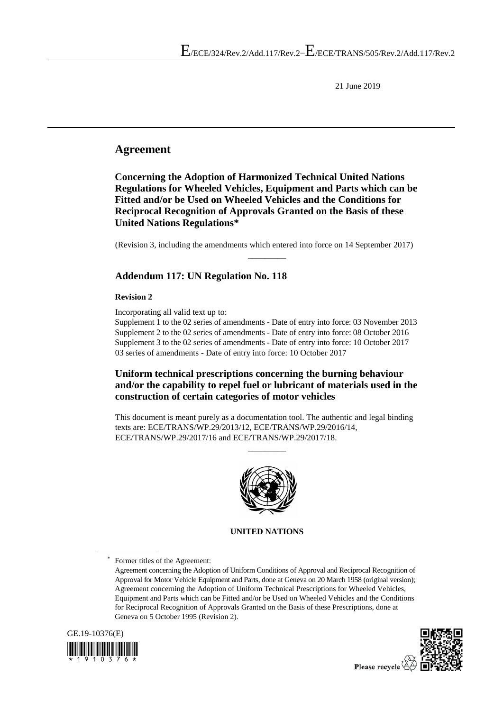21 June 2019

## **Agreement**

**Concerning the Adoption of Harmonized Technical United Nations Regulations for Wheeled Vehicles, Equipment and Parts which can be Fitted and/or be Used on Wheeled Vehicles and the Conditions for Reciprocal Recognition of Approvals Granted on the Basis of these United Nations Regulations\***

(Revision 3, including the amendments which entered into force on 14 September 2017)  $\overline{\phantom{a}}$  ,  $\overline{\phantom{a}}$  ,  $\overline{\phantom{a}}$  ,  $\overline{\phantom{a}}$  ,  $\overline{\phantom{a}}$  ,  $\overline{\phantom{a}}$  ,  $\overline{\phantom{a}}$  ,  $\overline{\phantom{a}}$  ,  $\overline{\phantom{a}}$  ,  $\overline{\phantom{a}}$  ,  $\overline{\phantom{a}}$  ,  $\overline{\phantom{a}}$  ,  $\overline{\phantom{a}}$  ,  $\overline{\phantom{a}}$  ,  $\overline{\phantom{a}}$  ,  $\overline{\phantom{a}}$ 

### **Addendum 117: UN Regulation No. 118**

### **Revision 2**

Incorporating all valid text up to:

Supplement 1 to the 02 series of amendments - Date of entry into force: 03 November 2013 Supplement 2 to the 02 series of amendments - Date of entry into force: 08 October 2016 Supplement 3 to the 02 series of amendments - Date of entry into force: 10 October 2017 03 series of amendments - Date of entry into force: 10 October 2017

### **Uniform technical prescriptions concerning the burning behaviour and/or the capability to repel fuel or lubricant of materials used in the construction of certain categories of motor vehicles**

This document is meant purely as a documentation tool. The authentic and legal binding texts are: ECE/TRANS/WP.29/2013/12, ECE/TRANS/WP.29/2016/14, ECE/TRANS/WP.29/2017/16 and ECE/TRANS/WP.29/2017/18.

 $\overline{\phantom{a}}$  ,  $\overline{\phantom{a}}$  ,  $\overline{\phantom{a}}$  ,  $\overline{\phantom{a}}$  ,  $\overline{\phantom{a}}$  ,  $\overline{\phantom{a}}$  ,  $\overline{\phantom{a}}$  ,  $\overline{\phantom{a}}$  ,  $\overline{\phantom{a}}$  ,  $\overline{\phantom{a}}$  ,  $\overline{\phantom{a}}$  ,  $\overline{\phantom{a}}$  ,  $\overline{\phantom{a}}$  ,  $\overline{\phantom{a}}$  ,  $\overline{\phantom{a}}$  ,  $\overline{\phantom{a}}$ 



### **UNITED NATIONS**

Former titles of the Agreement:

Agreement concerning the Adoption of Uniform Conditions of Approval and Reciprocal Recognition of Approval for Motor Vehicle Equipment and Parts, done at Geneva on 20 March 1958 (original version); Agreement concerning the Adoption of Uniform Technical Prescriptions for Wheeled Vehicles, Equipment and Parts which can be Fitted and/or be Used on Wheeled Vehicles and the Conditions for Reciprocal Recognition of Approvals Granted on the Basis of these Prescriptions, done at Geneva on 5 October 1995 (Revision 2).



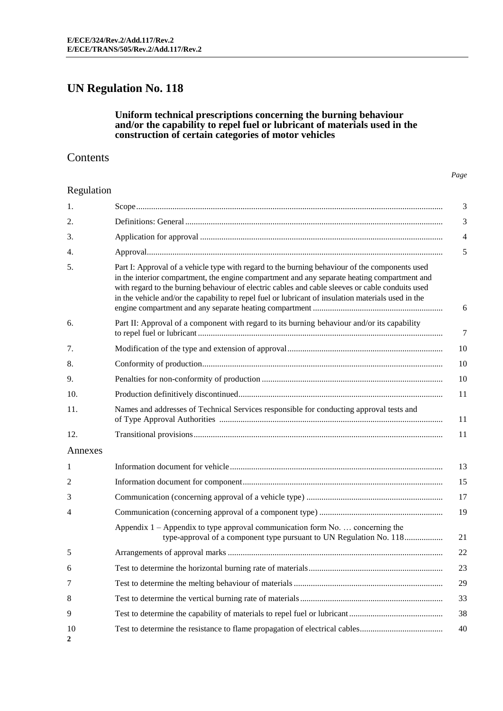# **UN Regulation No. 118**

### **Uniform technical prescriptions concerning the burning behaviour and/or the capability to repel fuel or lubricant of materials used in the construction of certain categories of motor vehicles**

### **Contents**

*Page*

### Regulation

| 1.      |                                                                                                                                                                                                                                                                                                                                                                                                           | 3  |
|---------|-----------------------------------------------------------------------------------------------------------------------------------------------------------------------------------------------------------------------------------------------------------------------------------------------------------------------------------------------------------------------------------------------------------|----|
| 2.      |                                                                                                                                                                                                                                                                                                                                                                                                           | 3  |
| 3.      |                                                                                                                                                                                                                                                                                                                                                                                                           | 4  |
| 4.      |                                                                                                                                                                                                                                                                                                                                                                                                           | 5  |
| 5.      | Part I: Approval of a vehicle type with regard to the burning behaviour of the components used<br>in the interior compartment, the engine compartment and any separate heating compartment and<br>with regard to the burning behaviour of electric cables and cable sleeves or cable conduits used<br>in the vehicle and/or the capability to repel fuel or lubricant of insulation materials used in the | 6  |
| 6.      | Part II: Approval of a component with regard to its burning behaviour and/or its capability                                                                                                                                                                                                                                                                                                               | 7  |
| 7.      |                                                                                                                                                                                                                                                                                                                                                                                                           | 10 |
| 8.      |                                                                                                                                                                                                                                                                                                                                                                                                           | 10 |
| 9.      |                                                                                                                                                                                                                                                                                                                                                                                                           | 10 |
| 10.     |                                                                                                                                                                                                                                                                                                                                                                                                           | 11 |
| 11.     | Names and addresses of Technical Services responsible for conducting approval tests and                                                                                                                                                                                                                                                                                                                   | 11 |
| 12.     |                                                                                                                                                                                                                                                                                                                                                                                                           | 11 |
| Annexes |                                                                                                                                                                                                                                                                                                                                                                                                           |    |
| 1       |                                                                                                                                                                                                                                                                                                                                                                                                           | 13 |
| 2       |                                                                                                                                                                                                                                                                                                                                                                                                           | 15 |
| 3       |                                                                                                                                                                                                                                                                                                                                                                                                           | 17 |
| 4       |                                                                                                                                                                                                                                                                                                                                                                                                           | 19 |
|         | Appendix $1$ – Appendix to type approval communication form No.  concerning the<br>type-approval of a component type pursuant to UN Regulation No. 118                                                                                                                                                                                                                                                    | 21 |
| 5       |                                                                                                                                                                                                                                                                                                                                                                                                           | 22 |
| 6       |                                                                                                                                                                                                                                                                                                                                                                                                           | 23 |
| 7       |                                                                                                                                                                                                                                                                                                                                                                                                           | 29 |
| 8       |                                                                                                                                                                                                                                                                                                                                                                                                           | 33 |
| 9       |                                                                                                                                                                                                                                                                                                                                                                                                           | 38 |
| 10<br>2 |                                                                                                                                                                                                                                                                                                                                                                                                           | 40 |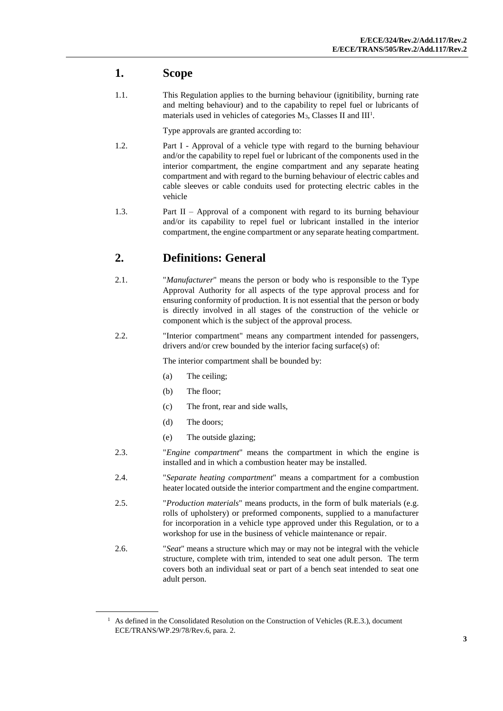## **1. Scope**

1.1. This Regulation applies to the burning behaviour (ignitibility, burning rate and melting behaviour) and to the capability to repel fuel or lubricants of materials used in vehicles of categories M<sub>3</sub>, Classes II and III<sup>1</sup>.

Type approvals are granted according to:

- 1.2. Part I Approval of a vehicle type with regard to the burning behaviour and/or the capability to repel fuel or lubricant of the components used in the interior compartment, the engine compartment and any separate heating compartment and with regard to the burning behaviour of electric cables and cable sleeves or cable conduits used for protecting electric cables in the vehicle
- 1.3. Part II Approval of a component with regard to its burning behaviour and/or its capability to repel fuel or lubricant installed in the interior compartment, the engine compartment or any separate heating compartment.

# **2. Definitions: General**

- 2.1. "*Manufacturer*" means the person or body who is responsible to the Type Approval Authority for all aspects of the type approval process and for ensuring conformity of production. It is not essential that the person or body is directly involved in all stages of the construction of the vehicle or component which is the subject of the approval process.
- 2.2. "Interior compartment" means any compartment intended for passengers, drivers and/or crew bounded by the interior facing surface(s) of:

The interior compartment shall be bounded by:

- (a) The ceiling;
- (b) The floor;
- (c) The front, rear and side walls,
- (d) The doors;
- (e) The outside glazing;
- 2.3. "*Engine compartment*" means the compartment in which the engine is installed and in which a combustion heater may be installed.
- 2.4. "*Separate heating compartment*" means a compartment for a combustion heater located outside the interior compartment and the engine compartment.
- 2.5. "*Production materials*" means products, in the form of bulk materials (e.g. rolls of upholstery) or preformed components, supplied to a manufacturer for incorporation in a vehicle type approved under this Regulation, or to a workshop for use in the business of vehicle maintenance or repair.
- 2.6. "*Seat*" means a structure which may or may not be integral with the vehicle structure, complete with trim, intended to seat one adult person. The term covers both an individual seat or part of a bench seat intended to seat one adult person.

<sup>&</sup>lt;sup>1</sup> As defined in the Consolidated Resolution on the Construction of Vehicles (R.E.3.), document ECE/TRANS/WP.29/78/Rev.6, para. 2.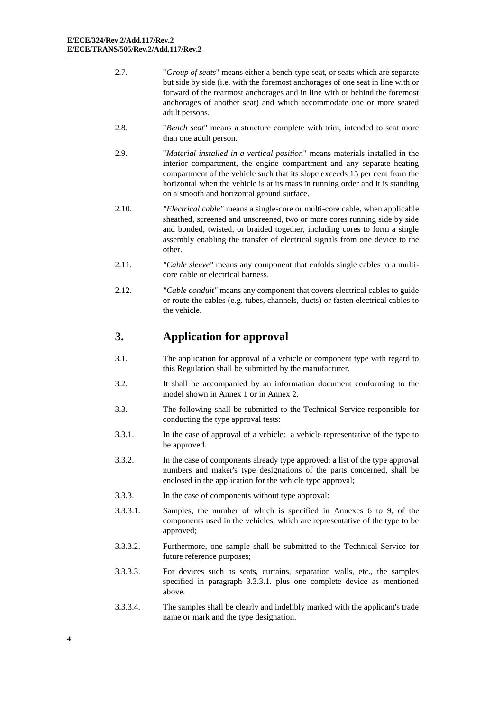- 2.7. "*Group of seats*" means either a bench-type seat, or seats which are separate but side by side (i.e. with the foremost anchorages of one seat in line with or forward of the rearmost anchorages and in line with or behind the foremost anchorages of another seat) and which accommodate one or more seated adult persons.
- 2.8. "*Bench seat*" means a structure complete with trim, intended to seat more than one adult person.
- 2.9. "*Material installed in a vertical position*" means materials installed in the interior compartment, the engine compartment and any separate heating compartment of the vehicle such that its slope exceeds 15 per cent from the horizontal when the vehicle is at its mass in running order and it is standing on a smooth and horizontal ground surface.
- 2.10. *"Electrical cable"* means a single-core or multi-core cable, when applicable sheathed, screened and unscreened, two or more cores running side by side and bonded, twisted, or braided together, including cores to form a single assembly enabling the transfer of electrical signals from one device to the other.
- 2.11. *"Cable sleeve"* means any component that enfolds single cables to a multicore cable or electrical harness.
- 2.12. *"Cable conduit"* means any component that covers electrical cables to guide or route the cables (e.g. tubes, channels, ducts) or fasten electrical cables to the vehicle.

## **3. Application for approval**

- 3.1. The application for approval of a vehicle or component type with regard to this Regulation shall be submitted by the manufacturer.
- 3.2. It shall be accompanied by an information document conforming to the model shown in Annex 1 or in Annex 2.
- 3.3. The following shall be submitted to the Technical Service responsible for conducting the type approval tests:
- 3.3.1. In the case of approval of a vehicle: a vehicle representative of the type to be approved.
- 3.3.2. In the case of components already type approved: a list of the type approval numbers and maker's type designations of the parts concerned, shall be enclosed in the application for the vehicle type approval;
- 3.3.3. In the case of components without type approval:
- 3.3.3.1. Samples, the number of which is specified in Annexes 6 to 9, of the components used in the vehicles, which are representative of the type to be approved;
- 3.3.3.2. Furthermore, one sample shall be submitted to the Technical Service for future reference purposes;
- 3.3.3.3. For devices such as seats, curtains, separation walls, etc., the samples specified in paragraph 3.3.3.1. plus one complete device as mentioned above.
- 3.3.3.4. The samples shall be clearly and indelibly marked with the applicant's trade name or mark and the type designation.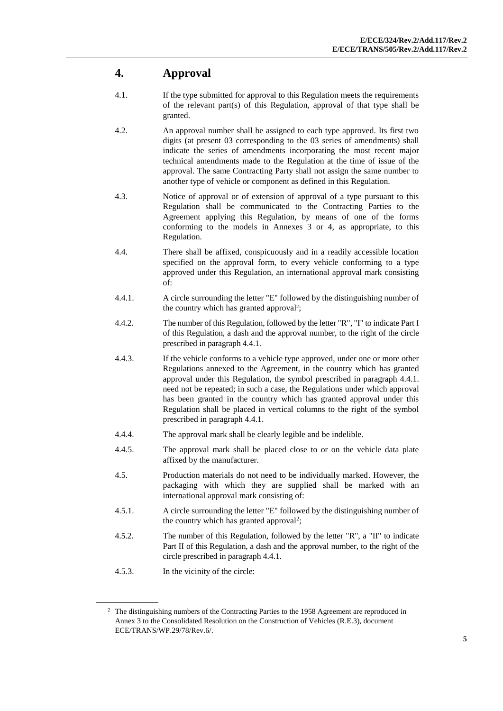# **4. Approval**

- 4.1. If the type submitted for approval to this Regulation meets the requirements of the relevant part(s) of this Regulation, approval of that type shall be granted.
- 4.2. An approval number shall be assigned to each type approved. Its first two digits (at present 03 corresponding to the 03 series of amendments) shall indicate the series of amendments incorporating the most recent major technical amendments made to the Regulation at the time of issue of the approval. The same Contracting Party shall not assign the same number to another type of vehicle or component as defined in this Regulation.
- 4.3. Notice of approval or of extension of approval of a type pursuant to this Regulation shall be communicated to the Contracting Parties to the Agreement applying this Regulation, by means of one of the forms conforming to the models in Annexes 3 or 4, as appropriate, to this Regulation.
- 4.4. There shall be affixed, conspicuously and in a readily accessible location specified on the approval form, to every vehicle conforming to a type approved under this Regulation, an international approval mark consisting of:
- 4.4.1. A circle surrounding the letter "E" followed by the distinguishing number of the country which has granted approval<sup>2</sup>;
- 4.4.2. The number of this Regulation, followed by the letter "R", "I" to indicate Part I of this Regulation, a dash and the approval number, to the right of the circle prescribed in paragraph 4.4.1.
- 4.4.3. If the vehicle conforms to a vehicle type approved, under one or more other Regulations annexed to the Agreement, in the country which has granted approval under this Regulation, the symbol prescribed in paragraph 4.4.1. need not be repeated; in such a case, the Regulations under which approval has been granted in the country which has granted approval under this Regulation shall be placed in vertical columns to the right of the symbol prescribed in paragraph 4.4.1.
- 4.4.4. The approval mark shall be clearly legible and be indelible.
- 4.4.5. The approval mark shall be placed close to or on the vehicle data plate affixed by the manufacturer.
- 4.5. Production materials do not need to be individually marked. However, the packaging with which they are supplied shall be marked with an international approval mark consisting of:
- 4.5.1. A circle surrounding the letter "E" followed by the distinguishing number of the country which has granted approval<sup>2</sup>;
- 4.5.2. The number of this Regulation, followed by the letter "R", a "II" to indicate Part II of this Regulation, a dash and the approval number, to the right of the circle prescribed in paragraph 4.4.1.
- 4.5.3. In the vicinity of the circle:

 $2\degree$  The distinguishing numbers of the Contracting Parties to the 1958 Agreement are reproduced in Annex 3 to the Consolidated Resolution on the Construction of Vehicles (R.E.3), document ECE/TRANS/WP.29/78/Rev.6/.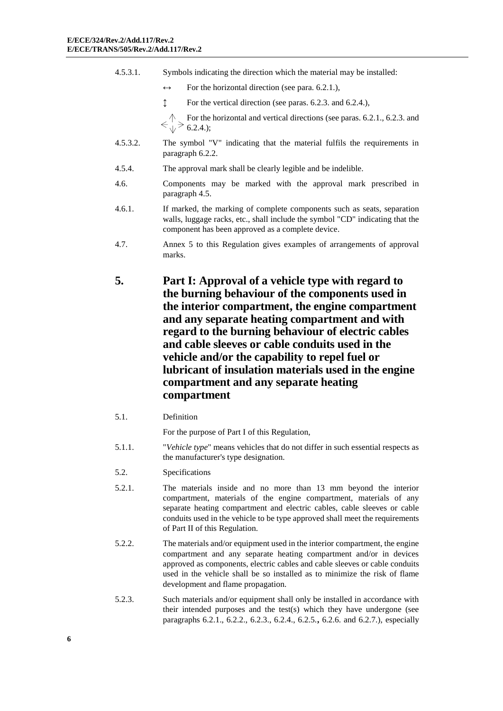- 4.5.3.1. Symbols indicating the direction which the material may be installed:
	- $\leftrightarrow$  For the horizontal direction (see para. 6.2.1.),
	- ↕ For the vertical direction (see paras. 6.2.3. and 6.2.4.),

For the horizontal and vertical directions (see paras. 6.2.1., 6.2.3. and  $\Longleftrightarrow \uparrow$  For the 6.2.4.);

- 4.5.3.2. The symbol "V" indicating that the material fulfils the requirements in paragraph 6.2.2.
- 4.5.4. The approval mark shall be clearly legible and be indelible.
- 4.6. Components may be marked with the approval mark prescribed in paragraph 4.5.
- 4.6.1. If marked, the marking of complete components such as seats, separation walls, luggage racks, etc., shall include the symbol "CD" indicating that the component has been approved as a complete device.
- 4.7. Annex 5 to this Regulation gives examples of arrangements of approval marks.
- **5. Part I: Approval of a vehicle type with regard to the burning behaviour of the components used in the interior compartment, the engine compartment and any separate heating compartment and with regard to the burning behaviour of electric cables and cable sleeves or cable conduits used in the vehicle and/or the capability to repel fuel or lubricant of insulation materials used in the engine compartment and any separate heating compartment**
- 5.1. Definition

For the purpose of Part I of this Regulation,

- 5.1.1. "*Vehicle type*" means vehicles that do not differ in such essential respects as the manufacturer's type designation.
- 5.2. Specifications
- 5.2.1. The materials inside and no more than 13 mm beyond the interior compartment, materials of the engine compartment, materials of any separate heating compartment and electric cables, cable sleeves or cable conduits used in the vehicle to be type approved shall meet the requirements of Part II of this Regulation.
- 5.2.2. The materials and/or equipment used in the interior compartment, the engine compartment and any separate heating compartment and/or in devices approved as components, electric cables and cable sleeves or cable conduits used in the vehicle shall be so installed as to minimize the risk of flame development and flame propagation.
- 5.2.3. Such materials and/or equipment shall only be installed in accordance with their intended purposes and the test(s) which they have undergone (see paragraphs 6.2.1., 6.2.2., 6.2.3., 6.2.4., 6.2.5.**,** 6.2.6. and 6.2.7.), especially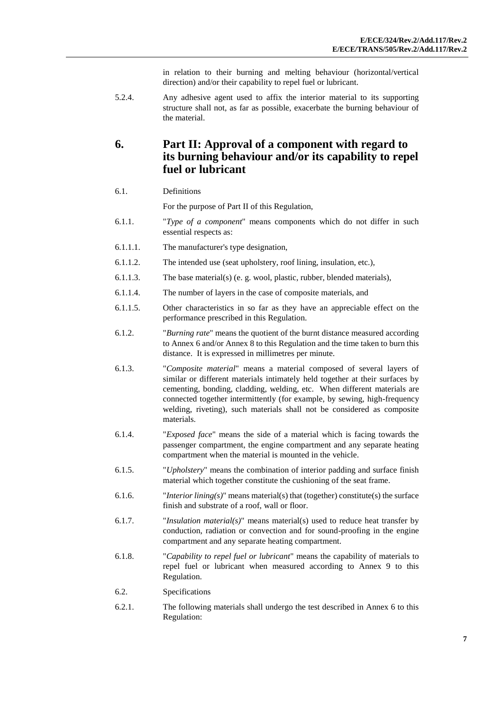in relation to their burning and melting behaviour (horizontal/vertical direction) and/or their capability to repel fuel or lubricant.

5.2.4. Any adhesive agent used to affix the interior material to its supporting structure shall not, as far as possible, exacerbate the burning behaviour of the material.

## **6. Part II: Approval of a component with regard to its burning behaviour and/or its capability to repel fuel or lubricant**

#### 6.1. Definitions

For the purpose of Part II of this Regulation,

- 6.1.1. "*Type of a component*" means components which do not differ in such essential respects as:
- 6.1.1.1. The manufacturer's type designation,
- 6.1.1.2. The intended use (seat upholstery, roof lining, insulation, etc.),
- 6.1.1.3. The base material(s) (e. g. wool, plastic, rubber, blended materials),
- 6.1.1.4. The number of layers in the case of composite materials, and
- 6.1.1.5. Other characteristics in so far as they have an appreciable effect on the performance prescribed in this Regulation.
- 6.1.2. "*Burning rate*" means the quotient of the burnt distance measured according to Annex 6 and/or Annex 8 to this Regulation and the time taken to burn this distance. It is expressed in millimetres per minute.
- 6.1.3. "*Composite material*" means a material composed of several layers of similar or different materials intimately held together at their surfaces by cementing, bonding, cladding, welding, etc. When different materials are connected together intermittently (for example, by sewing, high-frequency welding, riveting), such materials shall not be considered as composite materials.
- 6.1.4. "*Exposed face*" means the side of a material which is facing towards the passenger compartment, the engine compartment and any separate heating compartment when the material is mounted in the vehicle.
- 6.1.5. "*Upholstery*" means the combination of interior padding and surface finish material which together constitute the cushioning of the seat frame.
- 6.1.6. "*Interior lining(s)*" means material(s) that (together) constitute(s) the surface finish and substrate of a roof, wall or floor.
- 6.1.7. "*Insulation material(s)*" means material(s) used to reduce heat transfer by conduction, radiation or convection and for sound-proofing in the engine compartment and any separate heating compartment.
- 6.1.8. "*Capability to repel fuel or lubricant*" means the capability of materials to repel fuel or lubricant when measured according to Annex 9 to this Regulation.
- 6.2. Specifications
- 6.2.1. The following materials shall undergo the test described in Annex 6 to this Regulation: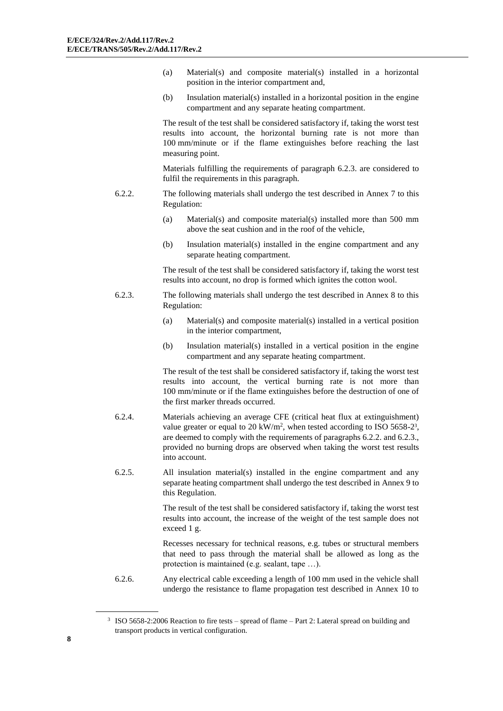- (a) Material(s) and composite material(s) installed in a horizontal position in the interior compartment and,
- (b) Insulation material(s) installed in a horizontal position in the engine compartment and any separate heating compartment.

The result of the test shall be considered satisfactory if, taking the worst test results into account, the horizontal burning rate is not more than 100 mm/minute or if the flame extinguishes before reaching the last measuring point.

Materials fulfilling the requirements of paragraph 6.2.3. are considered to fulfil the requirements in this paragraph.

- 6.2.2. The following materials shall undergo the test described in Annex 7 to this Regulation:
	- (a) Material(s) and composite material(s) installed more than 500 mm above the seat cushion and in the roof of the vehicle,
	- (b) Insulation material(s) installed in the engine compartment and any separate heating compartment.

The result of the test shall be considered satisfactory if, taking the worst test results into account, no drop is formed which ignites the cotton wool.

- 6.2.3. The following materials shall undergo the test described in Annex 8 to this Regulation:
	- (a) Material(s) and composite material(s) installed in a vertical position in the interior compartment,
	- (b) Insulation material(s) installed in a vertical position in the engine compartment and any separate heating compartment.

The result of the test shall be considered satisfactory if, taking the worst test results into account, the vertical burning rate is not more than 100 mm/minute or if the flame extinguishes before the destruction of one of the first marker threads occurred.

- 6.2.4. Materials achieving an average CFE (critical heat flux at extinguishment) value greater or equal to 20 kW/m<sup>2</sup>, when tested according to ISO 5658-2<sup>3</sup>, are deemed to comply with the requirements of paragraphs 6.2.2. and 6.2.3., provided no burning drops are observed when taking the worst test results into account.
- 6.2.5. All insulation material(s) installed in the engine compartment and any separate heating compartment shall undergo the test described in Annex 9 to this Regulation.

The result of the test shall be considered satisfactory if, taking the worst test results into account, the increase of the weight of the test sample does not exceed 1 g.

Recesses necessary for technical reasons, e.g. tubes or structural members that need to pass through the material shall be allowed as long as the protection is maintained (e.g. sealant, tape …).

6.2.6. Any electrical cable exceeding a length of 100 mm used in the vehicle shall undergo the resistance to flame propagation test described in Annex 10 to

<sup>3</sup> ISO 5658-2:2006 Reaction to fire tests – spread of flame – Part 2: Lateral spread on building and transport products in vertical configuration.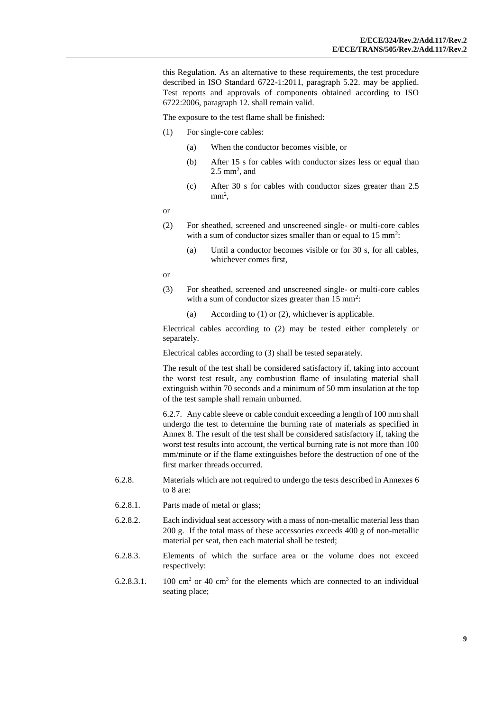this Regulation. As an alternative to these requirements, the test procedure described in ISO Standard 6722-1:2011, paragraph 5.22. may be applied. Test reports and approvals of components obtained according to ISO 6722:2006, paragraph 12. shall remain valid.

The exposure to the test flame shall be finished:

- (1) For single-core cables:
	- (a) When the conductor becomes visible, or
	- (b) After 15 s for cables with conductor sizes less or equal than  $2.5$  mm<sup>2</sup>, and
	- (c) After 30 s for cables with conductor sizes greater than 2.5  $mm<sup>2</sup>$ ,

or

- (2) For sheathed, screened and unscreened single- or multi-core cables with a sum of conductor sizes smaller than or equal to  $15 \text{ mm}^2$ :
	- (a) Until a conductor becomes visible or for 30 s, for all cables, whichever comes first,

or

- (3) For sheathed, screened and unscreened single- or multi-core cables with a sum of conductor sizes greater than  $15 \text{ mm}^2$ :
	- (a) According to (1) or (2), whichever is applicable.

Electrical cables according to (2) may be tested either completely or separately.

Electrical cables according to (3) shall be tested separately.

The result of the test shall be considered satisfactory if, taking into account the worst test result, any combustion flame of insulating material shall extinguish within 70 seconds and a minimum of 50 mm insulation at the top of the test sample shall remain unburned.

6.2.7. Any cable sleeve or cable conduit exceeding a length of 100 mm shall undergo the test to determine the burning rate of materials as specified in Annex 8. The result of the test shall be considered satisfactory if, taking the worst test results into account, the vertical burning rate is not more than 100 mm/minute or if the flame extinguishes before the destruction of one of the first marker threads occurred.

- 6.2.8. Materials which are not required to undergo the tests described in Annexes 6 to 8 are:
- 6.2.8.1. Parts made of metal or glass;
- 6.2.8.2. Each individual seat accessory with a mass of non-metallic material less than 200 g. If the total mass of these accessories exceeds 400 g of non-metallic material per seat, then each material shall be tested;
- 6.2.8.3. Elements of which the surface area or the volume does not exceed respectively:
- $6.2.8.3.1.$  100 cm<sup>2</sup> or 40 cm<sup>3</sup> for the elements which are connected to an individual seating place;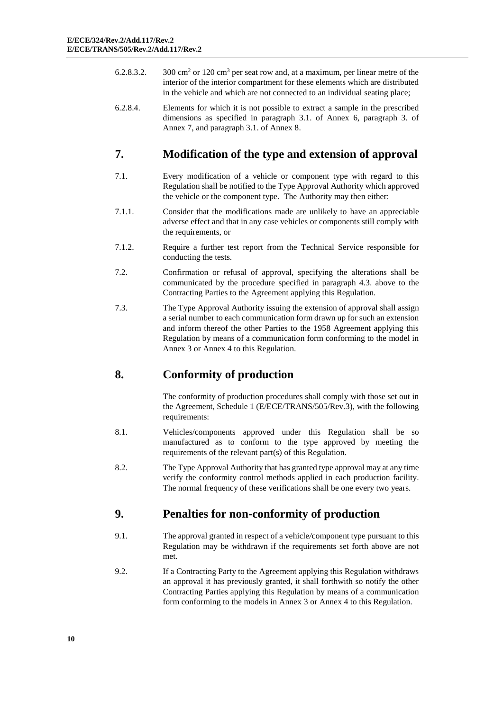- 6.2.8.3.2. 300 cm<sup>2</sup> or 120 cm<sup>3</sup> per seat row and, at a maximum, per linear metre of the interior of the interior compartment for these elements which are distributed in the vehicle and which are not connected to an individual seating place;
- 6.2.8.4. Elements for which it is not possible to extract a sample in the prescribed dimensions as specified in paragraph 3.1. of Annex 6, paragraph 3. of Annex 7, and paragraph 3.1. of Annex 8.

# **7. Modification of the type and extension of approval**

- 7.1. Every modification of a vehicle or component type with regard to this Regulation shall be notified to the Type Approval Authority which approved the vehicle or the component type. The Authority may then either:
- 7.1.1. Consider that the modifications made are unlikely to have an appreciable adverse effect and that in any case vehicles or components still comply with the requirements, or
- 7.1.2. Require a further test report from the Technical Service responsible for conducting the tests.
- 7.2. Confirmation or refusal of approval, specifying the alterations shall be communicated by the procedure specified in paragraph 4.3. above to the Contracting Parties to the Agreement applying this Regulation.
- 7.3. The Type Approval Authority issuing the extension of approval shall assign a serial number to each communication form drawn up for such an extension and inform thereof the other Parties to the 1958 Agreement applying this Regulation by means of a communication form conforming to the model in Annex 3 or Annex 4 to this Regulation.

# **8. Conformity of production**

The conformity of production procedures shall comply with those set out in the Agreement, Schedule 1 (E/ECE/TRANS/505/Rev.3), with the following requirements:

- 8.1. Vehicles/components approved under this Regulation shall be so manufactured as to conform to the type approved by meeting the requirements of the relevant part(s) of this Regulation.
- 8.2. The Type Approval Authority that has granted type approval may at any time verify the conformity control methods applied in each production facility. The normal frequency of these verifications shall be one every two years.

# **9. Penalties for non-conformity of production**

- 9.1. The approval granted in respect of a vehicle*/*component type pursuant to this Regulation may be withdrawn if the requirements set forth above are not met.
- 9.2. If a Contracting Party to the Agreement applying this Regulation withdraws an approval it has previously granted, it shall forthwith so notify the other Contracting Parties applying this Regulation by means of a communication form conforming to the models in Annex 3 or Annex 4 to this Regulation.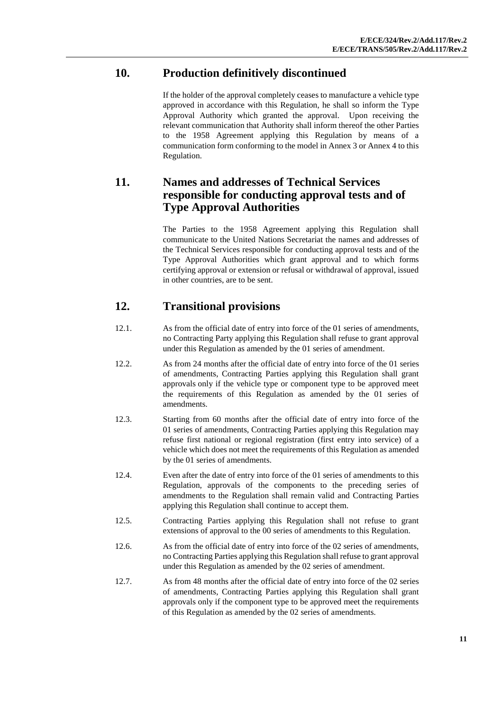# **10. Production definitively discontinued**

If the holder of the approval completely ceases to manufacture a vehicle type approved in accordance with this Regulation, he shall so inform the Type Approval Authority which granted the approval. Upon receiving the relevant communication that Authority shall inform thereof the other Parties to the 1958 Agreement applying this Regulation by means of a communication form conforming to the model in Annex 3 or Annex 4 to this Regulation.

## **11. Names and addresses of Technical Services responsible for conducting approval tests and of Type Approval Authorities**

The Parties to the 1958 Agreement applying this Regulation shall communicate to the United Nations Secretariat the names and addresses of the Technical Services responsible for conducting approval tests and of the Type Approval Authorities which grant approval and to which forms certifying approval or extension or refusal or withdrawal of approval, issued in other countries, are to be sent.

# **12. Transitional provisions**

- 12.1. As from the official date of entry into force of the 01 series of amendments, no Contracting Party applying this Regulation shall refuse to grant approval under this Regulation as amended by the 01 series of amendment.
- 12.2. As from 24 months after the official date of entry into force of the 01 series of amendments, Contracting Parties applying this Regulation shall grant approvals only if the vehicle type or component type to be approved meet the requirements of this Regulation as amended by the 01 series of amendments.
- 12.3. Starting from 60 months after the official date of entry into force of the 01 series of amendments, Contracting Parties applying this Regulation may refuse first national or regional registration (first entry into service) of a vehicle which does not meet the requirements of this Regulation as amended by the 01 series of amendments.
- 12.4. Even after the date of entry into force of the 01 series of amendments to this Regulation, approvals of the components to the preceding series of amendments to the Regulation shall remain valid and Contracting Parties applying this Regulation shall continue to accept them.
- 12.5. Contracting Parties applying this Regulation shall not refuse to grant extensions of approval to the 00 series of amendments to this Regulation.
- 12.6. As from the official date of entry into force of the 02 series of amendments, no Contracting Parties applying this Regulation shall refuse to grant approval under this Regulation as amended by the 02 series of amendment.
- 12.7. As from 48 months after the official date of entry into force of the 02 series of amendments, Contracting Parties applying this Regulation shall grant approvals only if the component type to be approved meet the requirements of this Regulation as amended by the 02 series of amendments.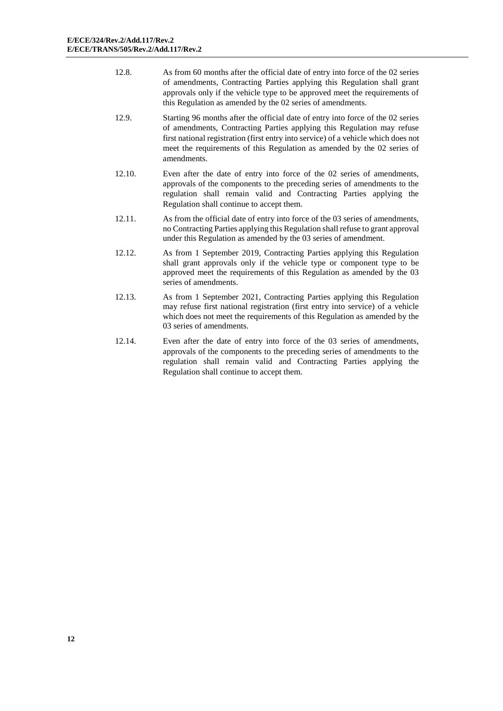- 12.8. As from 60 months after the official date of entry into force of the 02 series of amendments, Contracting Parties applying this Regulation shall grant approvals only if the vehicle type to be approved meet the requirements of this Regulation as amended by the 02 series of amendments.
- 12.9. Starting 96 months after the official date of entry into force of the 02 series of amendments, Contracting Parties applying this Regulation may refuse first national registration (first entry into service) of a vehicle which does not meet the requirements of this Regulation as amended by the 02 series of amendments.
- 12.10. Even after the date of entry into force of the 02 series of amendments, approvals of the components to the preceding series of amendments to the regulation shall remain valid and Contracting Parties applying the Regulation shall continue to accept them.
- 12.11. As from the official date of entry into force of the 03 series of amendments, no Contracting Parties applying this Regulation shall refuse to grant approval under this Regulation as amended by the 03 series of amendment.
- 12.12. As from 1 September 2019, Contracting Parties applying this Regulation shall grant approvals only if the vehicle type or component type to be approved meet the requirements of this Regulation as amended by the 03 series of amendments.
- 12.13. As from 1 September 2021, Contracting Parties applying this Regulation may refuse first national registration (first entry into service) of a vehicle which does not meet the requirements of this Regulation as amended by the 03 series of amendments.
- 12.14. Even after the date of entry into force of the 03 series of amendments, approvals of the components to the preceding series of amendments to the regulation shall remain valid and Contracting Parties applying the Regulation shall continue to accept them.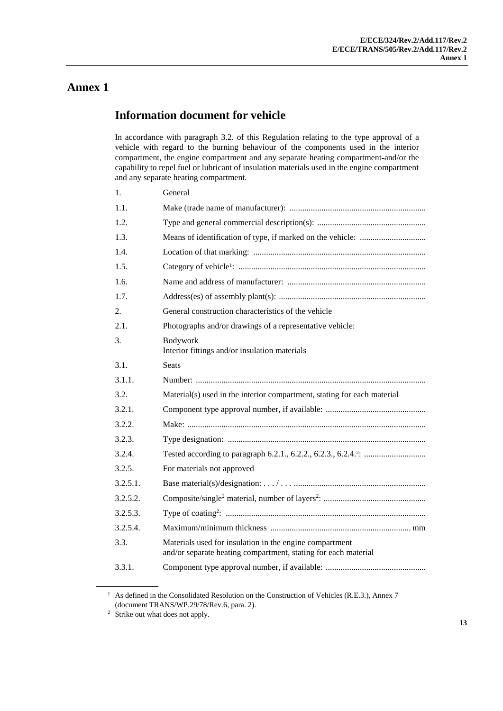## **Information document for vehicle**

In accordance with paragraph 3.2. of this Regulation relating to the type approval of a vehicle with regard to the burning behaviour of the components used in the interior compartment, the engine compartment and any separate heating compartment and/or the capability to repel fuel or lubricant of insulation materials used in the engine compartment and any separate heating compartment.

| 1.          | General                                                                                                                   |
|-------------|---------------------------------------------------------------------------------------------------------------------------|
| 1.1.        |                                                                                                                           |
| 1.2.        |                                                                                                                           |
| 1.3.        |                                                                                                                           |
| 1.4.        |                                                                                                                           |
| 1.5.        |                                                                                                                           |
| 1.6.        |                                                                                                                           |
| 1.7.        |                                                                                                                           |
| 2.          | General construction characteristics of the vehicle                                                                       |
| 2.1.        | Photographs and/or drawings of a representative vehicle:                                                                  |
| 3.          | Bodywork<br>Interior fittings and/or insulation materials                                                                 |
| 3.1.        | <b>Seats</b>                                                                                                              |
| 3.1.1.      |                                                                                                                           |
| 3.2.        | Material(s) used in the interior compartment, stating for each material                                                   |
| 3.2.1.      |                                                                                                                           |
| 3.2.2.      |                                                                                                                           |
| 3.2.3.      |                                                                                                                           |
| 3.2.4.      |                                                                                                                           |
| 3.2.5.      | For materials not approved                                                                                                |
| $3.2.5.1$ . |                                                                                                                           |
| 3.2.5.2.    |                                                                                                                           |
| 3.2.5.3.    |                                                                                                                           |
| 3.2.5.4.    |                                                                                                                           |
| 3.3.        | Materials used for insulation in the engine compartment<br>and/or separate heating compartment, stating for each material |
| 3.3.1.      |                                                                                                                           |

<sup>&</sup>lt;sup>1</sup> As defined in the Consolidated Resolution on the Construction of Vehicles (R.E.3.), Annex 7 (document TRANS/WP.29/78/Rev.6, para. 2).

<sup>&</sup>lt;sup>2</sup> Strike out what does not apply.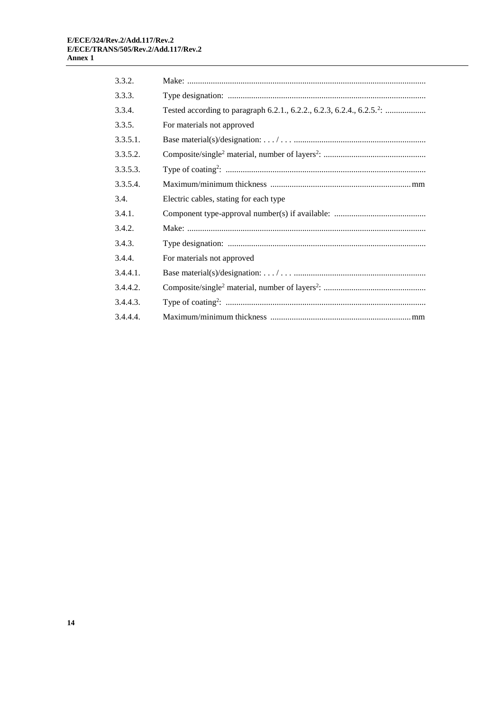| 3.3.2.   |                                        |
|----------|----------------------------------------|
| 3.3.3.   |                                        |
| 3.3.4.   |                                        |
| 3.3.5.   | For materials not approved             |
| 3.3.5.1. |                                        |
| 3.3.5.2. |                                        |
| 3.3.5.3. |                                        |
| 3.3.5.4  |                                        |
| 3.4.     | Electric cables, stating for each type |
| 3.4.1.   |                                        |
| 3.4.2.   |                                        |
| 3.4.3.   |                                        |
| 3.4.4.   | For materials not approved             |
| 3.4.4.1. |                                        |
| 3.4.4.2. |                                        |
| 3.4.4.3. |                                        |
| 3.4.4.4. |                                        |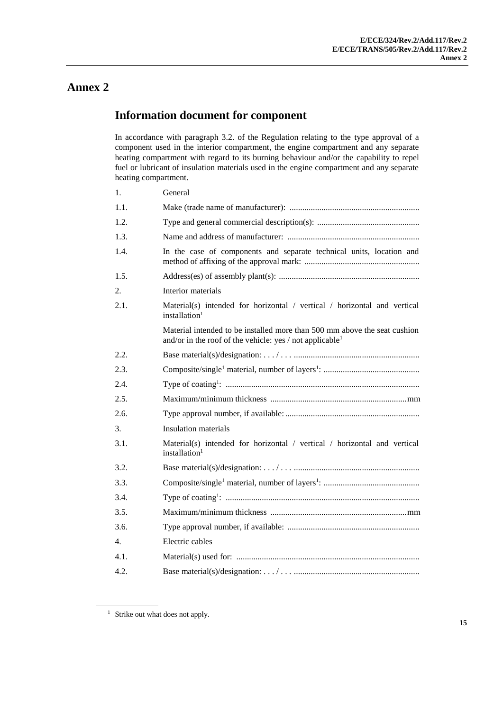## **Information document for component**

In accordance with paragraph 3.2. of the Regulation relating to the type approval of a component used in the interior compartment, the engine compartment and any separate heating compartment with regard to its burning behaviour and/or the capability to repel fuel or lubricant of insulation materials used in the engine compartment and any separate heating compartment.

| 1.   | General                                                                                                                                           |
|------|---------------------------------------------------------------------------------------------------------------------------------------------------|
| 1.1. |                                                                                                                                                   |
| 1.2. |                                                                                                                                                   |
| 1.3. |                                                                                                                                                   |
| 1.4. | In the case of components and separate technical units, location and                                                                              |
| 1.5. |                                                                                                                                                   |
| 2.   | Interior materials                                                                                                                                |
| 2.1. | Material(s) intended for horizontal / vertical / horizontal and vertical<br>installation <sup>1</sup>                                             |
|      | Material intended to be installed more than 500 mm above the seat cushion<br>and/or in the roof of the vehicle: yes / not applicable <sup>1</sup> |
| 2.2. |                                                                                                                                                   |
| 2.3. |                                                                                                                                                   |
| 2.4. |                                                                                                                                                   |
| 2.5. |                                                                                                                                                   |
| 2.6. |                                                                                                                                                   |
| 3.   | <b>Insulation materials</b>                                                                                                                       |
| 3.1. | Material(s) intended for horizontal / vertical / horizontal and vertical<br>installation <sup>1</sup>                                             |
| 3.2. |                                                                                                                                                   |
| 3.3. |                                                                                                                                                   |
| 3.4. |                                                                                                                                                   |
| 3.5. |                                                                                                                                                   |
| 3.6. |                                                                                                                                                   |
| 4.   | Electric cables                                                                                                                                   |
| 4.1. |                                                                                                                                                   |
| 4.2. |                                                                                                                                                   |

<sup>&</sup>lt;sup>1</sup> Strike out what does not apply.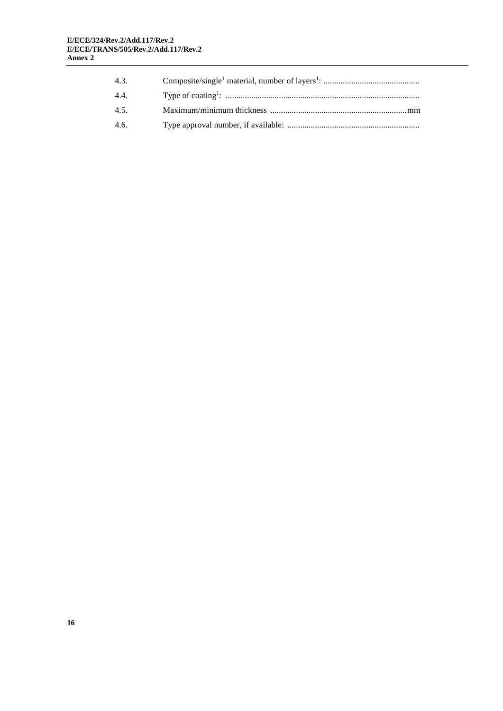| 4.3. |  |
|------|--|
| 4.4. |  |
| 45   |  |
| 4.6. |  |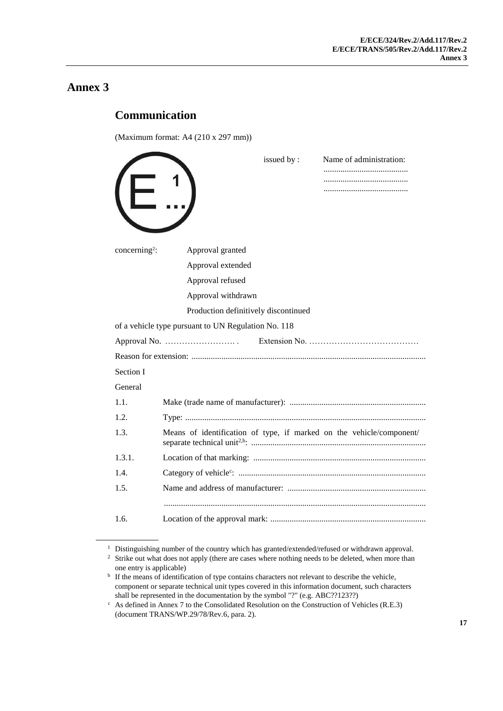# **Communication**

(Maximum format: A4 (210 x 297 mm))

|                           |                                                                      | issued by: | Name of administration: |
|---------------------------|----------------------------------------------------------------------|------------|-------------------------|
| concerning <sup>2</sup> : | Approval granted                                                     |            |                         |
|                           | Approval extended                                                    |            |                         |
|                           | Approval refused                                                     |            |                         |
|                           | Approval withdrawn                                                   |            |                         |
|                           | Production definitively discontinued                                 |            |                         |
|                           | of a vehicle type pursuant to UN Regulation No. 118                  |            |                         |
|                           |                                                                      |            |                         |
|                           |                                                                      |            |                         |
| Section I                 |                                                                      |            |                         |
| General                   |                                                                      |            |                         |
| 1.1.                      |                                                                      |            |                         |
| 12                        |                                                                      |            |                         |
| 1.3.                      | Means of identification of type, if marked on the vehicle/component/ |            |                         |
| 1.3.1.                    |                                                                      |            |                         |
| 1.4.                      |                                                                      |            |                         |
| 1.5.                      |                                                                      |            |                         |
|                           |                                                                      |            |                         |
| 1.6.                      |                                                                      |            |                         |

 $^1$  Distinguishing number of the country which has granted/extended/refused or withdrawn approval.

<sup>&</sup>lt;sup>2</sup> Strike out what does not apply (there are cases where nothing needs to be deleted, when more than one entry is applicable)

<sup>&</sup>lt;sup>b</sup> If the means of identification of type contains characters not relevant to describe the vehicle, component or separate technical unit types covered in this information document, such characters shall be represented in the documentation by the symbol "?" (e.g. ABC??123??)

<sup>c</sup> As defined in Annex 7 to the Consolidated Resolution on the Construction of Vehicles (R.E.3) (document TRANS/WP.29/78/Rev.6, para. 2).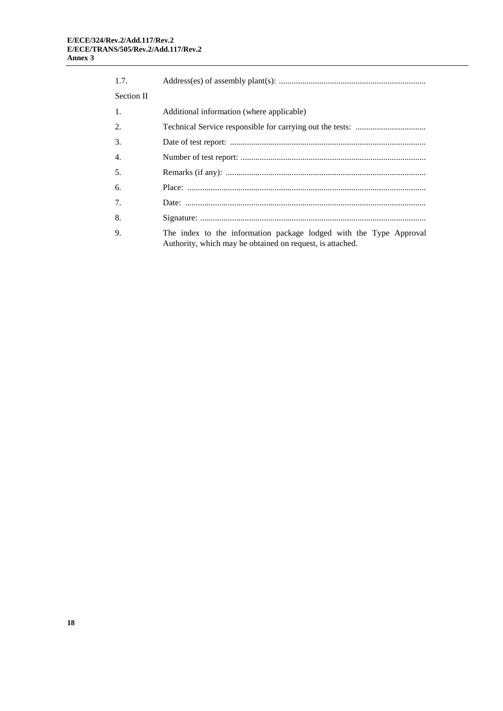| 1.7.              |                                                                                                                                 |
|-------------------|---------------------------------------------------------------------------------------------------------------------------------|
| <b>Section II</b> |                                                                                                                                 |
| 1.                | Additional information (where applicable)                                                                                       |
| 2.                |                                                                                                                                 |
| 3.                |                                                                                                                                 |
| 4.                |                                                                                                                                 |
| .5.               |                                                                                                                                 |
| 6.                |                                                                                                                                 |
| 7.                |                                                                                                                                 |
| 8.                |                                                                                                                                 |
| 9.                | The index to the information package lodged with the Type Approval<br>Authority, which may be obtained on request, is attached. |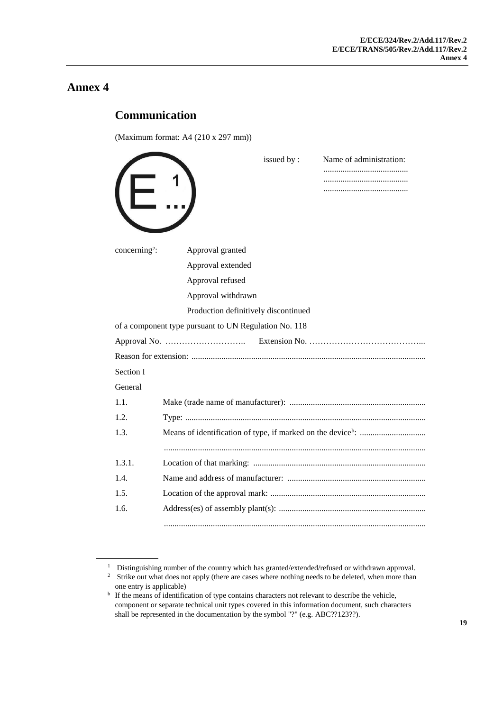# **Communication**

(Maximum format: A4 (210 x 297 mm))

|                           |                                                       | issued by: | Name of administration: |
|---------------------------|-------------------------------------------------------|------------|-------------------------|
|                           |                                                       |            |                         |
|                           |                                                       |            |                         |
|                           |                                                       |            |                         |
|                           |                                                       |            |                         |
| concerning <sup>2</sup> : | Approval granted                                      |            |                         |
|                           | Approval extended                                     |            |                         |
|                           | Approval refused                                      |            |                         |
|                           | Approval withdrawn                                    |            |                         |
|                           | Production definitively discontinued                  |            |                         |
|                           | of a component type pursuant to UN Regulation No. 118 |            |                         |
|                           |                                                       |            |                         |
|                           |                                                       |            |                         |
| Section I                 |                                                       |            |                         |
| General                   |                                                       |            |                         |
| 1.1.                      |                                                       |            |                         |
| 1.2.                      |                                                       |            |                         |
| 1.3.                      |                                                       |            |                         |
|                           |                                                       |            |                         |
| 1.3.1.                    |                                                       |            |                         |
| 1.4.                      |                                                       |            |                         |
| 1.5.                      |                                                       |            |                         |
| 1.6.                      |                                                       |            |                         |
|                           |                                                       |            |                         |

<sup>&</sup>lt;sup>1</sup> Distinguishing number of the country which has granted/extended/refused or withdrawn approval.

<sup>&</sup>lt;sup>2</sup> Strike out what does not apply (there are cases where nothing needs to be deleted, when more than one entry is applicable)

<sup>&</sup>lt;sup>b</sup> If the means of identification of type contains characters not relevant to describe the vehicle, component or separate technical unit types covered in this information document, such characters shall be represented in the documentation by the symbol "?" (e.g. ABC??123??).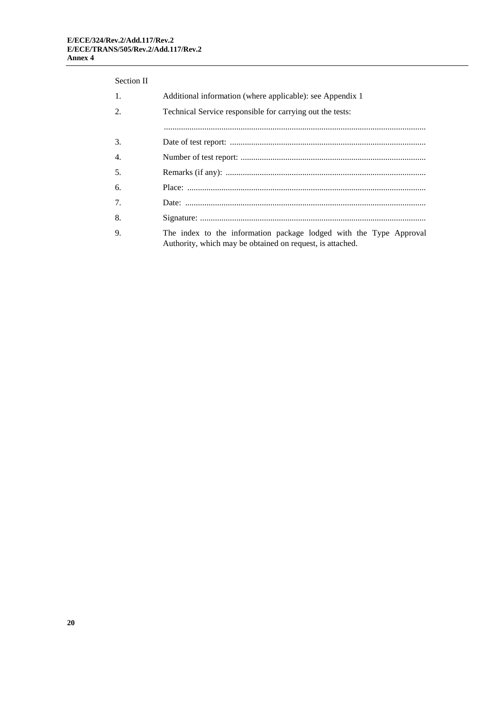#### Section II

| 1. | Additional information (where applicable): see Appendix 1                                                                       |
|----|---------------------------------------------------------------------------------------------------------------------------------|
| 2. | Technical Service responsible for carrying out the tests:                                                                       |
|    |                                                                                                                                 |
| 3. |                                                                                                                                 |
| 4. |                                                                                                                                 |
| 5. |                                                                                                                                 |
| 6. |                                                                                                                                 |
| 7. |                                                                                                                                 |
| 8. |                                                                                                                                 |
| 9. | The index to the information package lodged with the Type Approval<br>Authority, which may be obtained on request, is attached. |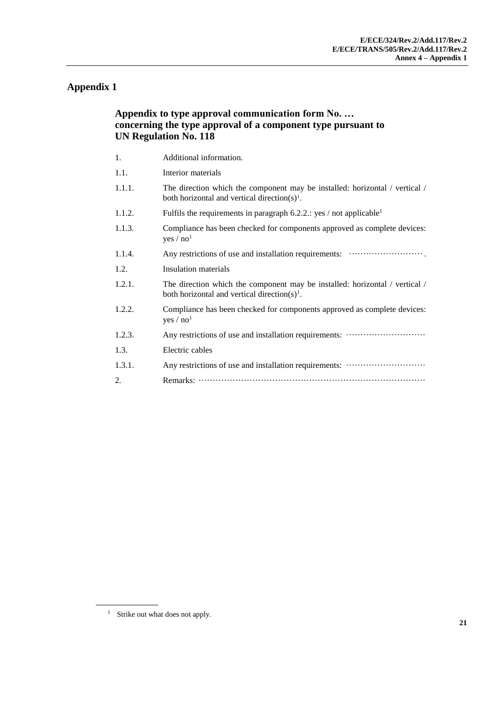### **Appendix 1**

### **Appendix to type approval communication form No. … concerning the type approval of a component type pursuant to UN Regulation No. 118**

- 1. Additional information.
- 1.1. Interior materials
- 1.1.1. The direction which the component may be installed: horizontal / vertical / both horizontal and vertical direction $(s)$ <sup>1</sup>.
- 1.1.2. Fulfils the requirements in paragraph  $6.2.2$ .: yes / not applicable<sup>1</sup>
- 1.1.3. Compliance has been checked for components approved as complete devices:  $yes / no<sup>1</sup>$
- 1.1.4. Any restrictions of use and installation requirements: ··························.
- 1.2. Insulation materials
- 1.2.1. The direction which the component may be installed: horizontal / vertical / both horizontal and vertical direction(s)<sup>1</sup>.
- 1.2.2. Compliance has been checked for components approved as complete devices: yes /  $no<sup>1</sup>$
- 1.2.3. Any restrictions of use and installation requirements: ····························
- 1.3. Electric cables
- 1.3.1. Any restrictions of use and installation requirements: ···························· 2. Remarks: ················································································

<sup>&</sup>lt;sup>1</sup> Strike out what does not apply.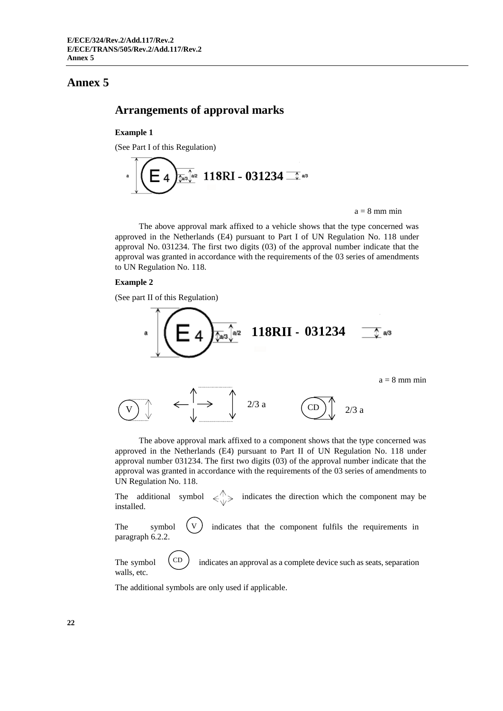### **Arrangements of approval marks**

#### **Example 1**

(See Part I of this Regulation)

$$
\int\limits_{0}^{\infty}\left(\frac{1}{\sqrt{2}}\right)^{\frac{1}{2}}\left(118\text{R1} - 0.31234\right) \frac{1}{\sqrt{2}}\text{eV}
$$

 $a = 8$  mm min

The above approval mark affixed to a vehicle shows that the type concerned was approved in the Netherlands (E4) pursuant to Part I of UN Regulation No. 118 under approval No. 031234. The first two digits (03) of the approval number indicate that the approval was granted in accordance with the requirements of the 03 series of amendments to UN Regulation No. 118.

### **Example 2**

(See part II of this Regulation)



The above approval mark affixed to a component shows that the type concerned was approved in the Netherlands (E4) pursuant to Part II of UN Regulation No. 118 under approval number 031234. The first two digits (03) of the approval number indicate that the approval was granted in accordance with the requirements of the 03 series of amendments to UN Regulation No. 118.

The additional symbol  $\ll_1$  indicates the direction which the component may be installed.

The symbol  $(V)$  indicates that the component fulfils the requirements in paragraph 6.2.2. V

The symbol  $\binom{CD}{ }$  indicates an approval as a complete device such as seats, separation walls, etc. CD

The additional symbols are only used if applicable.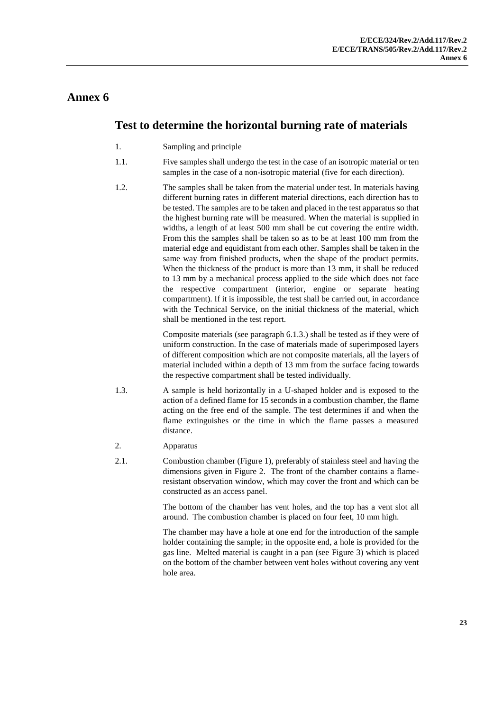## **Test to determine the horizontal burning rate of materials**

- 1. Sampling and principle
- 1.1. Five samples shall undergo the test in the case of an isotropic material or ten samples in the case of a non-isotropic material (five for each direction).
- 1.2. The samples shall be taken from the material under test. In materials having different burning rates in different material directions, each direction has to be tested. The samples are to be taken and placed in the test apparatus so that the highest burning rate will be measured. When the material is supplied in widths, a length of at least 500 mm shall be cut covering the entire width. From this the samples shall be taken so as to be at least 100 mm from the material edge and equidistant from each other. Samples shall be taken in the same way from finished products, when the shape of the product permits. When the thickness of the product is more than 13 mm, it shall be reduced to 13 mm by a mechanical process applied to the side which does not face the respective compartment (interior, engine or separate heating compartment). If it is impossible, the test shall be carried out, in accordance with the Technical Service, on the initial thickness of the material, which shall be mentioned in the test report.

Composite materials (see paragraph 6.1.3.) shall be tested as if they were of uniform construction. In the case of materials made of superimposed layers of different composition which are not composite materials, all the layers of material included within a depth of 13 mm from the surface facing towards the respective compartment shall be tested individually.

- 1.3. A sample is held horizontally in a U-shaped holder and is exposed to the action of a defined flame for 15 seconds in a combustion chamber, the flame acting on the free end of the sample. The test determines if and when the flame extinguishes or the time in which the flame passes a measured distance.
- 2. Apparatus
- 2.1. Combustion chamber (Figure 1), preferably of stainless steel and having the dimensions given in Figure 2. The front of the chamber contains a flameresistant observation window, which may cover the front and which can be constructed as an access panel.

The bottom of the chamber has vent holes, and the top has a vent slot all around. The combustion chamber is placed on four feet, 10 mm high.

The chamber may have a hole at one end for the introduction of the sample holder containing the sample; in the opposite end, a hole is provided for the gas line. Melted material is caught in a pan (see Figure 3) which is placed on the bottom of the chamber between vent holes without covering any vent hole area.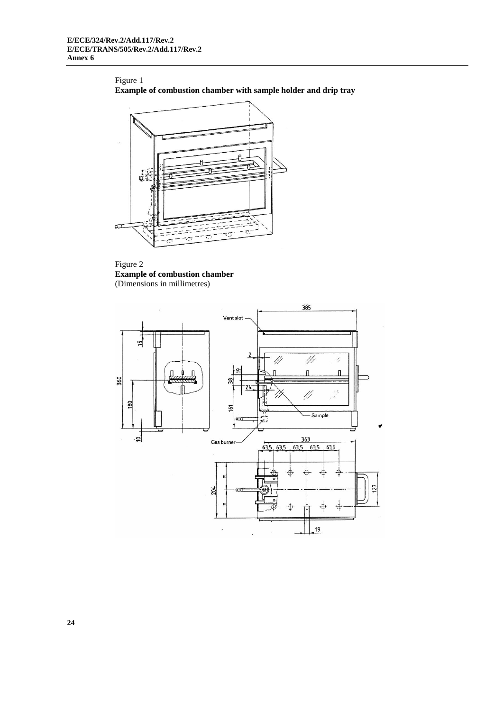Figure 1 **Example of combustion chamber with sample holder and drip tray**



Figure 2 **Example of combustion chamber** (Dimensions in millimetres)

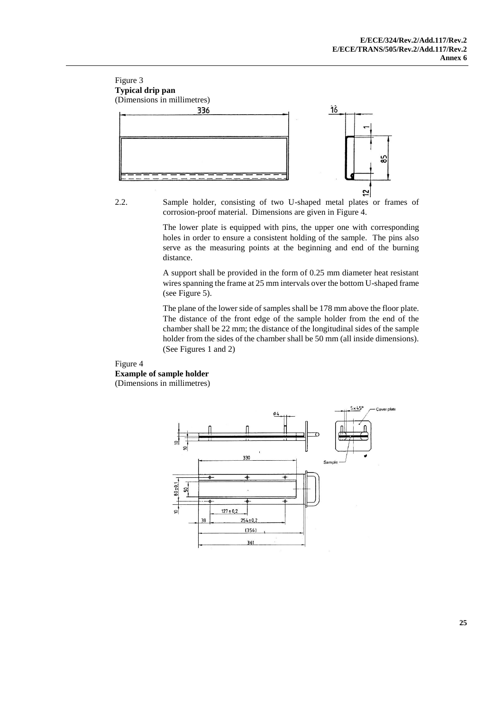

2.2. Sample holder, consisting of two U-shaped metal plates or frames of corrosion-proof material. Dimensions are given in Figure 4.

The lower plate is equipped with pins, the upper one with corresponding holes in order to ensure a consistent holding of the sample. The pins also serve as the measuring points at the beginning and end of the burning distance.

A support shall be provided in the form of 0.25 mm diameter heat resistant wires spanning the frame at 25 mm intervals over the bottom U-shaped frame (see Figure 5).

The plane of the lower side of samples shall be 178 mm above the floor plate. The distance of the front edge of the sample holder from the end of the chamber shall be 22 mm; the distance of the longitudinal sides of the sample holder from the sides of the chamber shall be 50 mm (all inside dimensions). (See Figures 1 and 2)

#### Figure 4 **Example of sample holder** (Dimensions in millimetres)

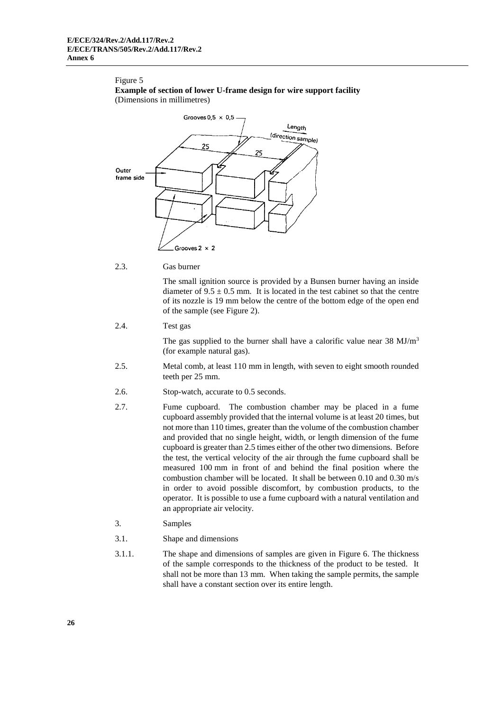#### Figure 5

**Example of section of lower U-frame design for wire support facility** (Dimensions in millimetres)



#### 2.3. Gas burner

The small ignition source is provided by a Bunsen burner having an inside diameter of  $9.5 \pm 0.5$  mm. It is located in the test cabinet so that the centre of its nozzle is 19 mm below the centre of the bottom edge of the open end of the sample (see Figure 2).

2.4. Test gas

The gas supplied to the burner shall have a calorific value near  $38 \text{ MJ/m}^3$ (for example natural gas).

- 2.5. Metal comb, at least 110 mm in length, with seven to eight smooth rounded teeth per 25 mm.
- 2.6. Stop-watch, accurate to 0.5 seconds.
- 2.7. Fume cupboard. The combustion chamber may be placed in a fume cupboard assembly provided that the internal volume is at least 20 times, but not more than 110 times, greater than the volume of the combustion chamber and provided that no single height, width, or length dimension of the fume cupboard is greater than 2.5 times either of the other two dimensions. Before the test, the vertical velocity of the air through the fume cupboard shall be measured 100 mm in front of and behind the final position where the combustion chamber will be located. It shall be between 0.10 and 0.30 m/s in order to avoid possible discomfort, by combustion products, to the operator. It is possible to use a fume cupboard with a natural ventilation and an appropriate air velocity.
- 3. Samples
- 3.1. Shape and dimensions
- 3.1.1. The shape and dimensions of samples are given in Figure 6. The thickness of the sample corresponds to the thickness of the product to be tested. It shall not be more than 13 mm. When taking the sample permits, the sample shall have a constant section over its entire length.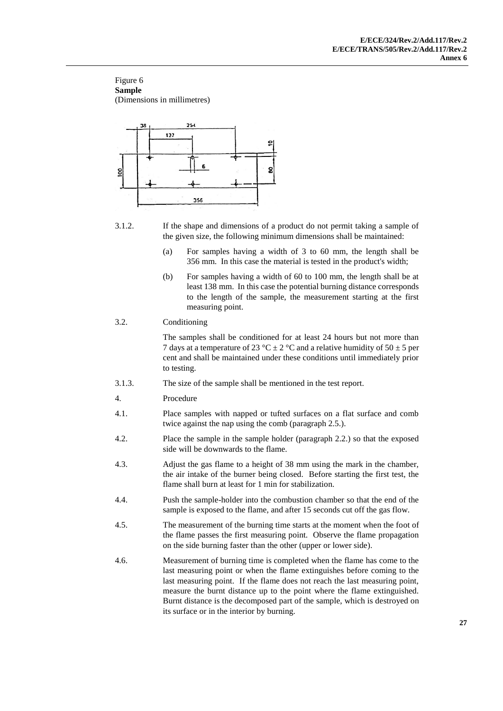#### Figure 6 **Sample** (Dimensions in millimetres)



3.1.2. If the shape and dimensions of a product do not permit taking a sample of the given size, the following minimum dimensions shall be maintained:

- (a) For samples having a width of 3 to 60 mm, the length shall be 356 mm. In this case the material is tested in the product's width;
- (b) For samples having a width of 60 to 100 mm, the length shall be at least 138 mm. In this case the potential burning distance corresponds to the length of the sample, the measurement starting at the first measuring point.

### 3.2. Conditioning

The samples shall be conditioned for at least 24 hours but not more than 7 days at a temperature of 23 °C  $\pm$  2 °C and a relative humidity of 50  $\pm$  5 per cent and shall be maintained under these conditions until immediately prior to testing.

- 3.1.3. The size of the sample shall be mentioned in the test report.
- 4. Procedure
- 4.1. Place samples with napped or tufted surfaces on a flat surface and comb twice against the nap using the comb (paragraph 2.5.).
- 4.2. Place the sample in the sample holder (paragraph 2.2.) so that the exposed side will be downwards to the flame.
- 4.3. Adjust the gas flame to a height of 38 mm using the mark in the chamber, the air intake of the burner being closed. Before starting the first test, the flame shall burn at least for 1 min for stabilization.
- 4.4. Push the sample-holder into the combustion chamber so that the end of the sample is exposed to the flame, and after 15 seconds cut off the gas flow.
- 4.5. The measurement of the burning time starts at the moment when the foot of the flame passes the first measuring point. Observe the flame propagation on the side burning faster than the other (upper or lower side).
- 4.6. Measurement of burning time is completed when the flame has come to the last measuring point or when the flame extinguishes before coming to the last measuring point. If the flame does not reach the last measuring point, measure the burnt distance up to the point where the flame extinguished. Burnt distance is the decomposed part of the sample, which is destroyed on its surface or in the interior by burning.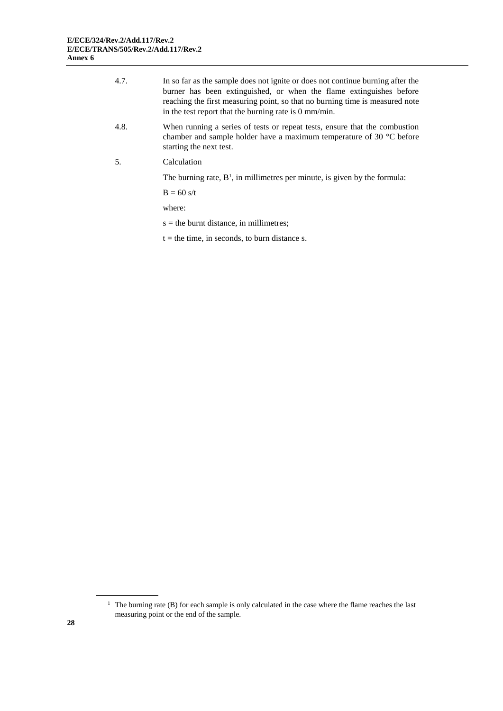| 4.7. | In so far as the sample does not ignite or does not continue burning after the<br>burner has been extinguished, or when the flame extinguishes before<br>reaching the first measuring point, so that no burning time is measured note<br>in the test report that the burning rate is $0 \text{ mm/min}$ . |
|------|-----------------------------------------------------------------------------------------------------------------------------------------------------------------------------------------------------------------------------------------------------------------------------------------------------------|
| 4.8. | When running a series of tests or repeat tests, ensure that the combustion<br>chamber and sample holder have a maximum temperature of 30 $^{\circ}$ C before<br>starting the next test.                                                                                                                   |
| .5.  | Calculation                                                                                                                                                                                                                                                                                               |
|      | The burning rate, $B^1$ , in millimetres per minute, is given by the formula:                                                                                                                                                                                                                             |
|      | $B = 60$ s/t                                                                                                                                                                                                                                                                                              |
|      | where:                                                                                                                                                                                                                                                                                                    |

s = the burnt distance, in millimetres;

 $t =$  the time, in seconds, to burn distance s.

<sup>&</sup>lt;sup>1</sup> The burning rate (B) for each sample is only calculated in the case where the flame reaches the last measuring point or the end of the sample.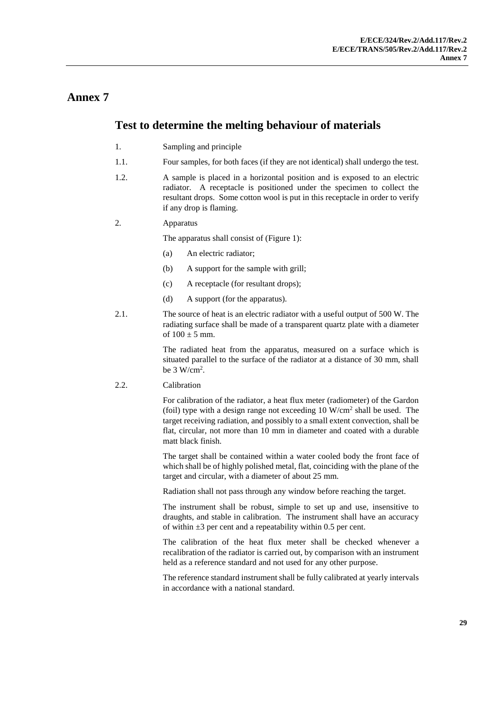## **Test to determine the melting behaviour of materials**

- 1. Sampling and principle
- 1.1. Four samples, for both faces (if they are not identical) shall undergo the test.
- 1.2. A sample is placed in a horizontal position and is exposed to an electric radiator. A receptacle is positioned under the specimen to collect the resultant drops. Some cotton wool is put in this receptacle in order to verify if any drop is flaming.

### 2. Apparatus

The apparatus shall consist of (Figure 1):

- (a) An electric radiator;
- (b) A support for the sample with grill;
- (c) A receptacle (for resultant drops);
- (d) A support (for the apparatus).
- 2.1. The source of heat is an electric radiator with a useful output of 500 W. The radiating surface shall be made of a transparent quartz plate with a diameter of  $100 \pm 5$  mm.

The radiated heat from the apparatus, measured on a surface which is situated parallel to the surface of the radiator at a distance of 30 mm, shall be  $3 W/cm<sup>2</sup>$ .

### 2.2. Calibration

For calibration of the radiator, a heat flux meter (radiometer) of the Gardon (foil) type with a design range not exceeding  $10 \text{ W/cm}^2$  shall be used. The target receiving radiation, and possibly to a small extent convection, shall be flat, circular, not more than 10 mm in diameter and coated with a durable matt black finish.

The target shall be contained within a water cooled body the front face of which shall be of highly polished metal, flat, coinciding with the plane of the target and circular, with a diameter of about 25 mm.

Radiation shall not pass through any window before reaching the target.

The instrument shall be robust, simple to set up and use, insensitive to draughts, and stable in calibration. The instrument shall have an accuracy of within  $\pm 3$  per cent and a repeatability within 0.5 per cent.

The calibration of the heat flux meter shall be checked whenever a recalibration of the radiator is carried out, by comparison with an instrument held as a reference standard and not used for any other purpose.

The reference standard instrument shall be fully calibrated at yearly intervals in accordance with a national standard.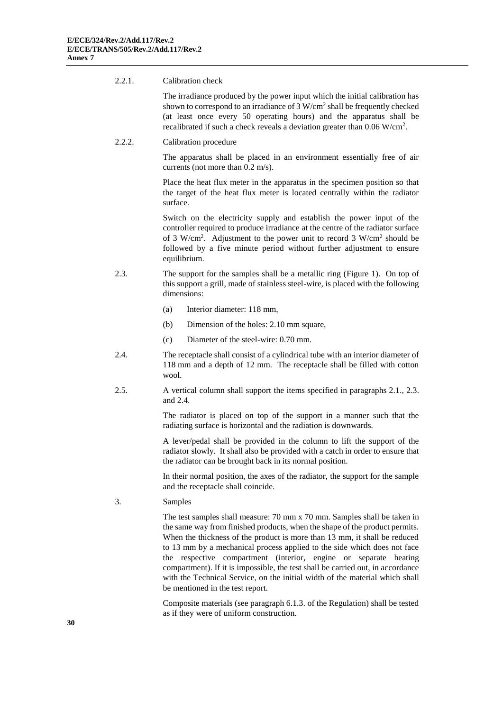#### 2.2.1. Calibration check

The irradiance produced by the power input which the initial calibration has shown to correspond to an irradiance of  $3 \text{ W/cm}^2$  shall be frequently checked (at least once every 50 operating hours) and the apparatus shall be recalibrated if such a check reveals a deviation greater than  $0.06 \text{ W/cm}^2$ .

#### 2.2.2. Calibration procedure

The apparatus shall be placed in an environment essentially free of air currents (not more than 0.2 m/s).

Place the heat flux meter in the apparatus in the specimen position so that the target of the heat flux meter is located centrally within the radiator surface.

Switch on the electricity supply and establish the power input of the controller required to produce irradiance at the centre of the radiator surface of 3 W/cm<sup>2</sup>. Adjustment to the power unit to record 3 W/cm<sup>2</sup> should be followed by a five minute period without further adjustment to ensure equilibrium.

- 2.3. The support for the samples shall be a metallic ring (Figure 1). On top of this support a grill, made of stainless steel-wire, is placed with the following dimensions:
	- (a) Interior diameter: 118 mm,
	- (b) Dimension of the holes: 2.10 mm square,
	- (c) Diameter of the steel-wire: 0.70 mm.
- 2.4. The receptacle shall consist of a cylindrical tube with an interior diameter of 118 mm and a depth of 12 mm. The receptacle shall be filled with cotton wool.
- 2.5. A vertical column shall support the items specified in paragraphs 2.1., 2.3. and 2.4.

The radiator is placed on top of the support in a manner such that the radiating surface is horizontal and the radiation is downwards.

A lever/pedal shall be provided in the column to lift the support of the radiator slowly. It shall also be provided with a catch in order to ensure that the radiator can be brought back in its normal position.

In their normal position, the axes of the radiator, the support for the sample and the receptacle shall coincide.

3. Samples

The test samples shall measure: 70 mm x 70 mm. Samples shall be taken in the same way from finished products, when the shape of the product permits. When the thickness of the product is more than 13 mm, it shall be reduced to 13 mm by a mechanical process applied to the side which does not face the respective compartment (interior, engine or separate heating compartment). If it is impossible, the test shall be carried out, in accordance with the Technical Service, on the initial width of the material which shall be mentioned in the test report.

Composite materials (see paragraph 6.1.3. of the Regulation) shall be tested as if they were of uniform construction.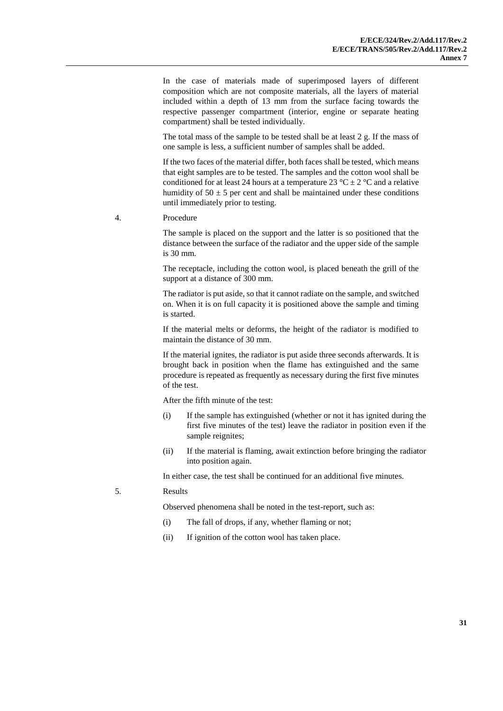In the case of materials made of superimposed layers of different composition which are not composite materials, all the layers of material included within a depth of 13 mm from the surface facing towards the respective passenger compartment (interior, engine or separate heating compartment) shall be tested individually.

The total mass of the sample to be tested shall be at least 2 g. If the mass of one sample is less, a sufficient number of samples shall be added.

If the two faces of the material differ, both faces shall be tested, which means that eight samples are to be tested. The samples and the cotton wool shall be conditioned for at least 24 hours at a temperature 23 °C  $\pm$  2 °C and a relative humidity of  $50 \pm 5$  per cent and shall be maintained under these conditions until immediately prior to testing.

4. Procedure

The sample is placed on the support and the latter is so positioned that the distance between the surface of the radiator and the upper side of the sample is 30 mm.

The receptacle, including the cotton wool, is placed beneath the grill of the support at a distance of 300 mm.

The radiator is put aside, so that it cannot radiate on the sample, and switched on. When it is on full capacity it is positioned above the sample and timing is started.

If the material melts or deforms, the height of the radiator is modified to maintain the distance of 30 mm.

If the material ignites, the radiator is put aside three seconds afterwards. It is brought back in position when the flame has extinguished and the same procedure is repeated as frequently as necessary during the first five minutes of the test.

After the fifth minute of the test:

- (i) If the sample has extinguished (whether or not it has ignited during the first five minutes of the test) leave the radiator in position even if the sample reignites;
- (ii) If the material is flaming, await extinction before bringing the radiator into position again.

In either case, the test shall be continued for an additional five minutes.

#### 5. Results

Observed phenomena shall be noted in the test-report, such as:

- (i) The fall of drops, if any, whether flaming or not;
- (ii) If ignition of the cotton wool has taken place.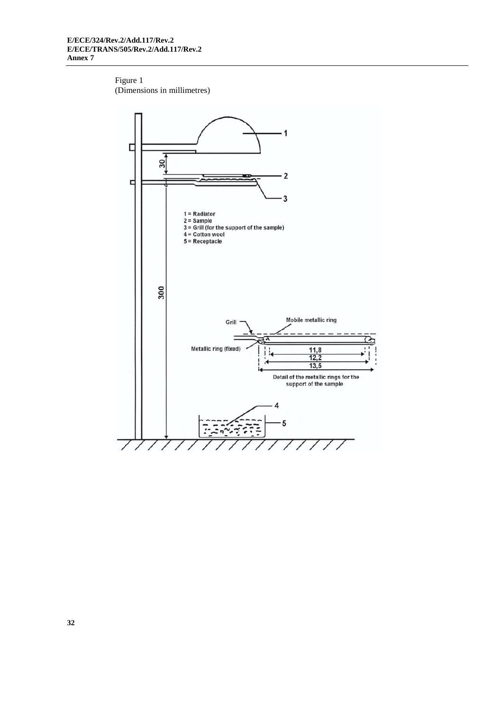### Figure 1 (Dimensions in millimetres)

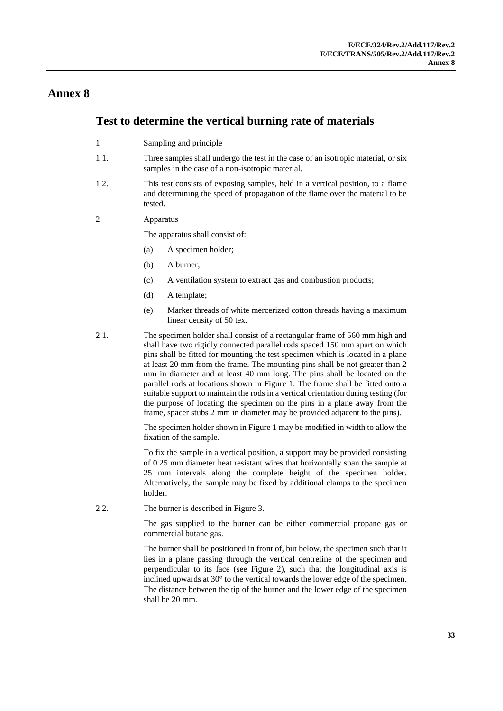### **Test to determine the vertical burning rate of materials**

- 1. Sampling and principle
- 1.1. Three samples shall undergo the test in the case of an isotropic material, or six samples in the case of a non-isotropic material.
- 1.2. This test consists of exposing samples, held in a vertical position, to a flame and determining the speed of propagation of the flame over the material to be tested.
- 2. Apparatus

The apparatus shall consist of:

- (a) A specimen holder;
- (b) A burner;
- (c) A ventilation system to extract gas and combustion products;
- (d) A template;
- (e) Marker threads of white mercerized cotton threads having a maximum linear density of 50 tex.
- 2.1. The specimen holder shall consist of a rectangular frame of 560 mm high and shall have two rigidly connected parallel rods spaced 150 mm apart on which pins shall be fitted for mounting the test specimen which is located in a plane at least 20 mm from the frame. The mounting pins shall be not greater than 2 mm in diameter and at least 40 mm long. The pins shall be located on the parallel rods at locations shown in Figure 1. The frame shall be fitted onto a suitable support to maintain the rods in a vertical orientation during testing (for the purpose of locating the specimen on the pins in a plane away from the frame, spacer stubs 2 mm in diameter may be provided adjacent to the pins).

The specimen holder shown in Figure 1 may be modified in width to allow the fixation of the sample.

To fix the sample in a vertical position, a support may be provided consisting of 0.25 mm diameter heat resistant wires that horizontally span the sample at 25 mm intervals along the complete height of the specimen holder. Alternatively, the sample may be fixed by additional clamps to the specimen holder.

2.2. The burner is described in Figure 3.

The gas supplied to the burner can be either commercial propane gas or commercial butane gas.

The burner shall be positioned in front of, but below, the specimen such that it lies in a plane passing through the vertical centreline of the specimen and perpendicular to its face (see Figure 2), such that the longitudinal axis is inclined upwards at 30° to the vertical towards the lower edge of the specimen. The distance between the tip of the burner and the lower edge of the specimen shall be 20 mm.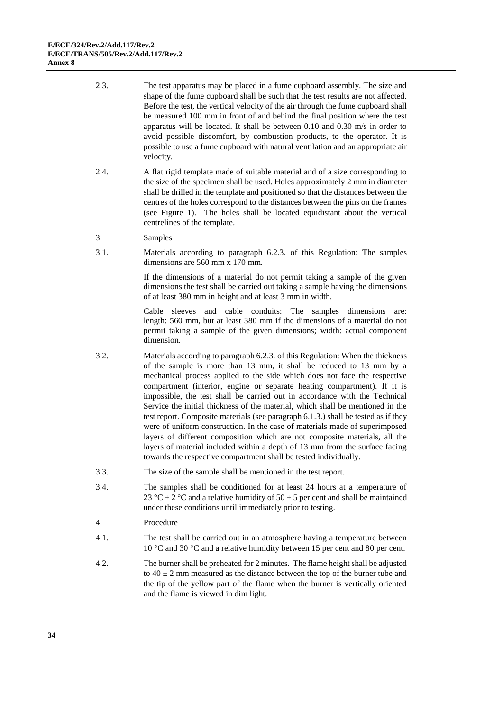- 2.3. The test apparatus may be placed in a fume cupboard assembly. The size and shape of the fume cupboard shall be such that the test results are not affected. Before the test, the vertical velocity of the air through the fume cupboard shall be measured 100 mm in front of and behind the final position where the test apparatus will be located. It shall be between 0.10 and 0.30 m/s in order to avoid possible discomfort, by combustion products, to the operator. It is possible to use a fume cupboard with natural ventilation and an appropriate air velocity.
- 2.4. A flat rigid template made of suitable material and of a size corresponding to the size of the specimen shall be used. Holes approximately 2 mm in diameter shall be drilled in the template and positioned so that the distances between the centres of the holes correspond to the distances between the pins on the frames (see Figure 1). The holes shall be located equidistant about the vertical centrelines of the template.
- 3. Samples
- 3.1. Materials according to paragraph 6.2.3. of this Regulation: The samples dimensions are 560 mm x 170 mm.

If the dimensions of a material do not permit taking a sample of the given dimensions the test shall be carried out taking a sample having the dimensions of at least 380 mm in height and at least 3 mm in width.

Cable sleeves and cable conduits: The samples dimensions are: length: 560 mm, but at least 380 mm if the dimensions of a material do not permit taking a sample of the given dimensions; width: actual component dimension.

- 3.2. Materials according to paragraph 6.2.3. of this Regulation: When the thickness of the sample is more than 13 mm, it shall be reduced to 13 mm by a mechanical process applied to the side which does not face the respective compartment (interior, engine or separate heating compartment). If it is impossible, the test shall be carried out in accordance with the Technical Service the initial thickness of the material, which shall be mentioned in the test report. Composite materials (see paragraph 6.1.3.) shall be tested as if they were of uniform construction. In the case of materials made of superimposed layers of different composition which are not composite materials, all the layers of material included within a depth of 13 mm from the surface facing towards the respective compartment shall be tested individually.
- 3.3. The size of the sample shall be mentioned in the test report.
- 3.4. The samples shall be conditioned for at least 24 hours at a temperature of 23 °C  $\pm$  2 °C and a relative humidity of 50  $\pm$  5 per cent and shall be maintained under these conditions until immediately prior to testing.
- 4. Procedure
- 4.1. The test shall be carried out in an atmosphere having a temperature between 10 °C and 30 °C and a relative humidity between 15 per cent and 80 per cent.
- 4.2. The burner shall be preheated for 2 minutes. The flame height shall be adjusted to  $40 \pm 2$  mm measured as the distance between the top of the burner tube and the tip of the yellow part of the flame when the burner is vertically oriented and the flame is viewed in dim light.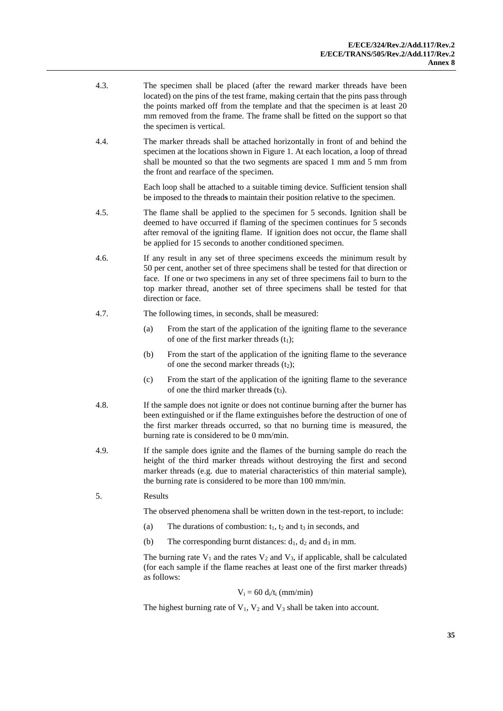- 4.3. The specimen shall be placed (after the reward marker threads have been located) on the pins of the test frame, making certain that the pins pass through the points marked off from the template and that the specimen is at least 20 mm removed from the frame. The frame shall be fitted on the support so that the specimen is vertical.
- 4.4. The marker threads shall be attached horizontally in front of and behind the specimen at the locations shown in Figure 1. At each location, a loop of thread shall be mounted so that the two segments are spaced 1 mm and 5 mm from the front and rearface of the specimen.

Each loop shall be attached to a suitable timing device. Sufficient tension shall be imposed to the thread**s** to maintain their position relative to the specimen.

- 4.5. The flame shall be applied to the specimen for 5 seconds. Ignition shall be deemed to have occurred if flaming of the specimen continues for 5 seconds after removal of the igniting flame. If ignition does not occur, the flame shall be applied for 15 seconds to another conditioned specimen.
- 4.6. If any result in any set of three specimens exceeds the minimum result by 50 per cent, another set of three specimens shall be tested for that direction or face. If one or two specimens in any set of three specimens fail to burn to the top marker thread, another set of three specimens shall be tested for that direction or face.
- 4.7. The following times, in seconds, shall be measured:
	- (a) From the start of the application of the igniting flame to the severance of one of the first marker threads  $(t_1)$ ;
	- (b) From the start of the application of the igniting flame to the severance of one the second marker threads  $(t_2)$ ;
	- (c) From the start of the application of the igniting flame to the severance of one the third marker thread**s** (t3).
- 4.8. If the sample does not ignite or does not continue burning after the burner has been extinguished or if the flame extinguishes before the destruction of one of the first marker threads occurred, so that no burning time is measured, the burning rate is considered to be 0 mm/min.
- 4.9. If the sample does ignite and the flames of the burning sample do reach the height of the third marker threads without destroying the first and second marker threads (e.g. due to material characteristics of thin material sample), the burning rate is considered to be more than 100 mm/min.
- 5. Results

The observed phenomena shall be written down in the test-report, to include:

- (a) The durations of combustion:  $t_1$ ,  $t_2$  and  $t_3$  in seconds, and
- (b) The corresponding burnt distances:  $d_1$ ,  $d_2$  and  $d_3$  in mm.

The burning rate  $V_1$  and the rates  $V_2$  and  $V_3$ , if applicable, shall be calculated (for each sample if the flame reaches at least one of the first marker threads) as follows:

#### $V_i = 60 d_i/t_i$  (mm/min)

The highest burning rate of  $V_1$ ,  $V_2$  and  $V_3$  shall be taken into account.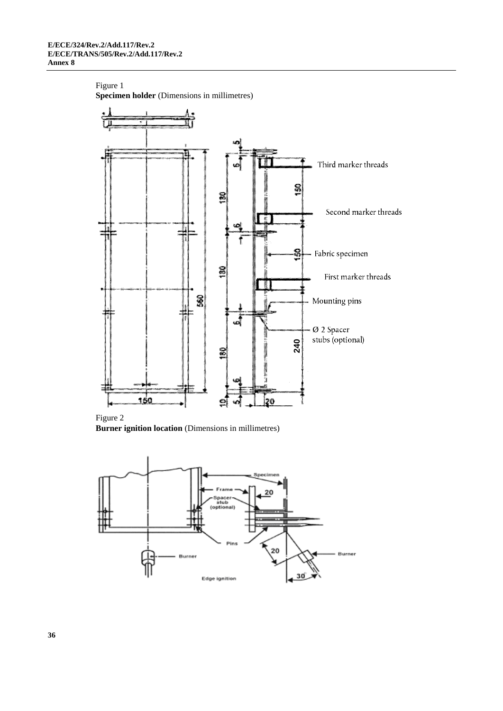#### Figure 1

**Specimen holder** (Dimensions in millimetres)



Figure 2 **Burner ignition location** (Dimensions in millimetres)

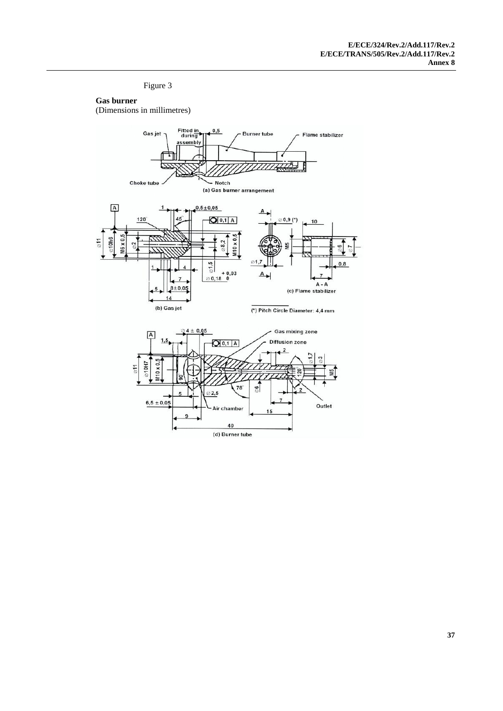Figure 3

### **Gas burner**

(Dimensions in millimetres)

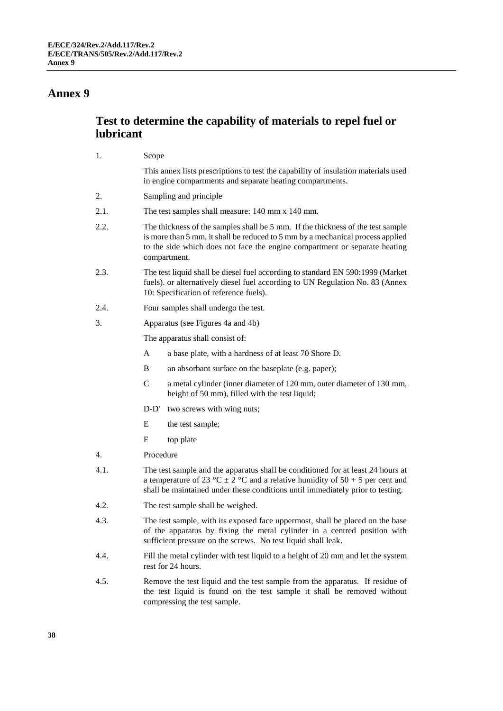1. Scope

### **Annex 9**

## **Test to determine the capability of materials to repel fuel or lubricant**

|      | <b>DODD</b>                                                                                                                                                                                                                                                     |
|------|-----------------------------------------------------------------------------------------------------------------------------------------------------------------------------------------------------------------------------------------------------------------|
|      | This annex lists prescriptions to test the capability of insulation materials used<br>in engine compartments and separate heating compartments.                                                                                                                 |
| 2.   | Sampling and principle.                                                                                                                                                                                                                                         |
| 2.1. | The test samples shall measure: 140 mm x 140 mm.                                                                                                                                                                                                                |
| 2.2. | The thickness of the samples shall be 5 mm. If the thickness of the test sample<br>is more than 5 mm, it shall be reduced to 5 mm by a mechanical process applied<br>to the side which does not face the engine compartment or separate heating<br>compartment. |
| 2.3. | The test liquid shall be diesel fuel according to standard EN 590:1999 (Market                                                                                                                                                                                  |

- 2.3. The test liquid shall be diesel fuel according to standard EN 590:1999 (Market fuels). or alternatively diesel fuel according to UN Regulation No. 83 (Annex 10: Specification of reference fuels).
- 2.4. Four samples shall undergo the test.
- 3. Apparatus (see Figures 4a and 4b)

The apparatus shall consist of:

- A a base plate, with a hardness of at least 70 Shore D.
- B an absorbant surface on the baseplate (e.g. paper);
- C a metal cylinder (inner diameter of 120 mm, outer diameter of 130 mm, height of 50 mm), filled with the test liquid;
- D-D' two screws with wing nuts;
- E the test sample;
- F top plate
- 4. Procedure
- 4.1. The test sample and the apparatus shall be conditioned for at least 24 hours at a temperature of 23 °C  $\pm$  2 °C and a relative humidity of 50 + 5 per cent and shall be maintained under these conditions until immediately prior to testing.
- 4.2. The test sample shall be weighed.
- 4.3. The test sample, with its exposed face uppermost, shall be placed on the base of the apparatus by fixing the metal cylinder in a centred position with sufficient pressure on the screws. No test liquid shall leak.
- 4.4. Fill the metal cylinder with test liquid to a height of 20 mm and let the system rest for 24 hours.
- 4.5. Remove the test liquid and the test sample from the apparatus. If residue of the test liquid is found on the test sample it shall be removed without compressing the test sample.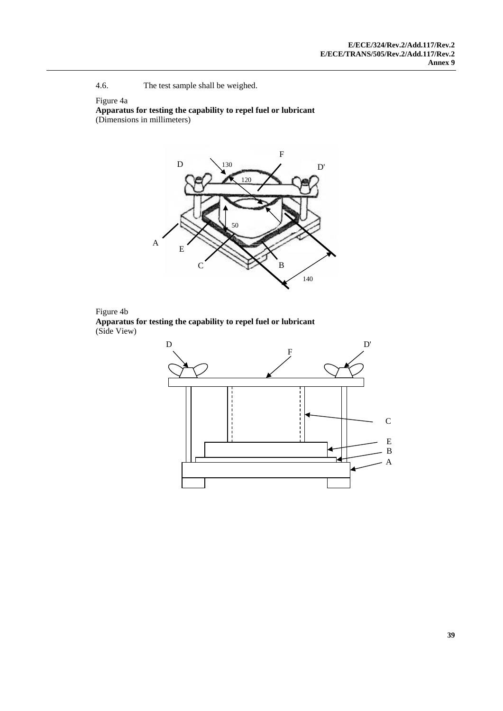4.6. The test sample shall be weighed.

### Figure 4a

**Apparatus for testing the capability to repel fuel or lubricant** (Dimensions in millimeters)